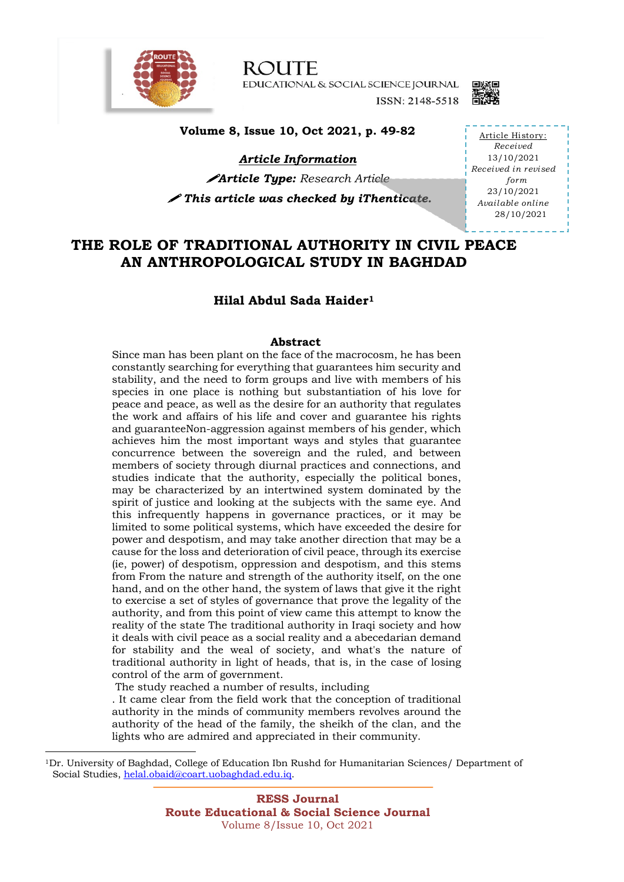

**ROUTE** EDUCATIONAL & SOCIAL SCIENCE JOURNAL ISSN: 2148-5518



**Volume 8, Issue 10, Oct 2021, p. 49-82**

*Article Information*

!*Article Type: Research Article*

! *This article was checked by iThenticate.* 

Article History: *Received* 13/10/2021 *Received in revised form* 23/10/2021 *Available online* 28/10/2021

## **THE ROLE OF TRADITIONAL AUTHORITY IN CIVIL PEACE AN ANTHROPOLOGICAL STUDY IN BAGHDAD**

### **Hilal Abdul Sada Haider1**

### **Abstract**

Since man has been plant on the face of the macrocosm, he has been constantly searching for everything that guarantees him security and stability, and the need to form groups and live with members of his species in one place is nothing but substantiation of his love for peace and peace, as well as the desire for an authority that regulates the work and affairs of his life and cover and guarantee his rights and guaranteeNon-aggression against members of his gender, which achieves him the most important ways and styles that guarantee concurrence between the sovereign and the ruled, and between members of society through diurnal practices and connections, and studies indicate that the authority, especially the political bones, may be characterized by an intertwined system dominated by the spirit of justice and looking at the subjects with the same eye. And this infrequently happens in governance practices, or it may be limited to some political systems, which have exceeded the desire for power and despotism, and may take another direction that may be a cause for the loss and deterioration of civil peace, through its exercise (ie, power) of despotism, oppression and despotism, and this stems from From the nature and strength of the authority itself, on the one hand, and on the other hand, the system of laws that give it the right to exercise a set of styles of governance that prove the legality of the authority, and from this point of view came this attempt to know the reality of the state The traditional authority in Iraqi society and how it deals with civil peace as a social reality and a abecedarian demand for stability and the weal of society, and what's the nature of traditional authority in light of heads, that is, in the case of losing control of the arm of government.

The study reached a number of results, including

. It came clear from the field work that the conception of traditional authority in the minds of community members revolves around the authority of the head of the family, the sheikh of the clan, and the lights who are admired and appreciated in their community.

<sup>1</sup>Dr. University of Baghdad, College of Education Ibn Rushd for Humanitarian Sciences/ Department of Social Studies, helal.obaid@coart.uobaghdad.edu.iq.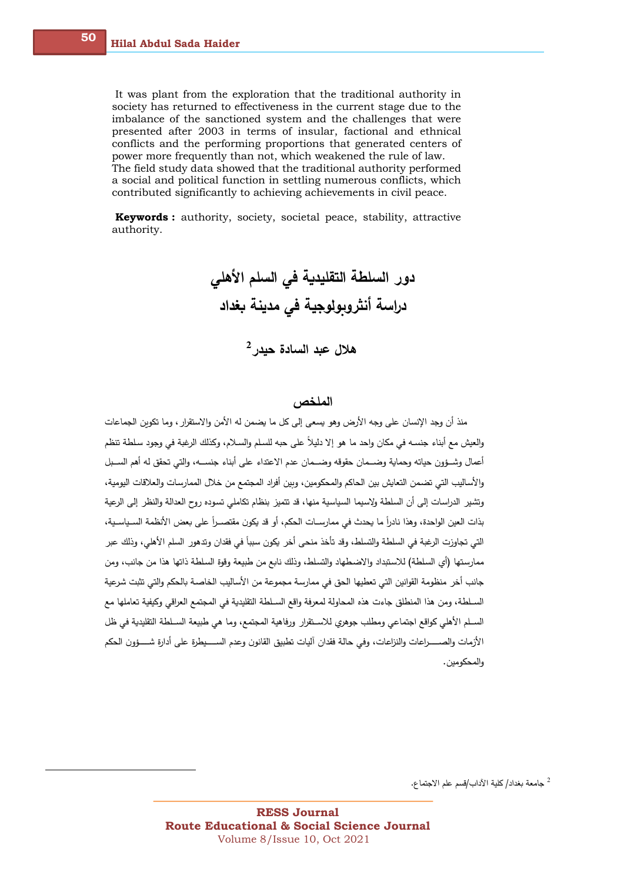$50$ 

It was plant from the exploration that the traditional authority in society has returned to effectiveness in the current stage due to the imbalance of the sanctioned system and the challenges that were presented after 2003 in terms of insular, factional and ethnical conflicts and the performing proportions that generated centers of power more frequently than not, which weakened the rule of law. The field study data showed that the traditional authority performed a social and political function in settling numerous conflicts, which contributed significantly to achieving achievements in civil peace.

**Keywords:** authority, society, societal peace, stability, attractive authority.

دور السلطة التقليدية في السلم الأهلي دراسة أنثروبولوجية في مدينة بغداد هلال عبد السادة حيدر 2

### الملخص

منذ أن وجد الإنسان على وجه الأرض وهو يسعى إلى كل ما يضمن له الأمن والاستقرار ، وما تكوين الجماعات والعيش مع أبناء جنسـه في مكان واحد ما هو إلا دليلاً على حبه للسلم والسـلام، وكذلك الرغبة في وجود سلطة تنظم أعمال وشــؤون حياته وحماية وضـــمان حقوقه وضـــمان عدم الاعتداء على أبناء جنســـه، والتي تحقق له أهم الســبل والأساليب التي تضمن التعايش بين الحاكم والمحكومين، وبين أفراد المجتمع من خلال الممارسات والعلاقات اليومية، وتشير الدراسات إلى أن السلطة ولاسيما السياسية منها، قد تتميز بنظام تكاملي تسوده روح العدالة والنظر إلى الرعية بذات العين الواحدة، وهذا نادراً ما يحدث في ممارسـات الحكم، أو قد يكون مقتصــراً على بعض الأنظمة السـياسـية، التي تجاوزت الرغبة في السلطة والتسلط، وقد تأخذ منحي أخر يكون سبباً في فقدان وتدهور السلم الأهلي، وذلك عبر ممارستها (أي السلطة) للاستبداد والاضطهاد والتسلط، وذلك نابع من طبيعة وقوة السلطة ذاتها هذا من جانب، ومن جانب أخر منظومة القوانين التي تعطيها الحق في ممارسة مجموعة من الأساليب الخاصـة بالحكم والتي تثبت شرعية السـلطة، ومن هذا المنطلق جاءت هذه المحاولة لمعرفة واقع السـلطة التقليدية في المجتمع العراقي وكيفية تعاملها مع السـلم الأهلي كواقع اجتماعي ومطلب جوهري للاسـتقرار ورفاهية المجتمع، وما هي طبيعة السـلطة التقليدية في ظل الأزمات والصـــــــراعات والنزاعات، وفي حالة فقدان آليات تطبيق القانون وعدم الســـــيطرة على أدارةٍ شـــــؤون الحكم والمحكومين.

<sup>2</sup> جامعة بغداد/ كلية الآداب/قسم علم الاجتماع.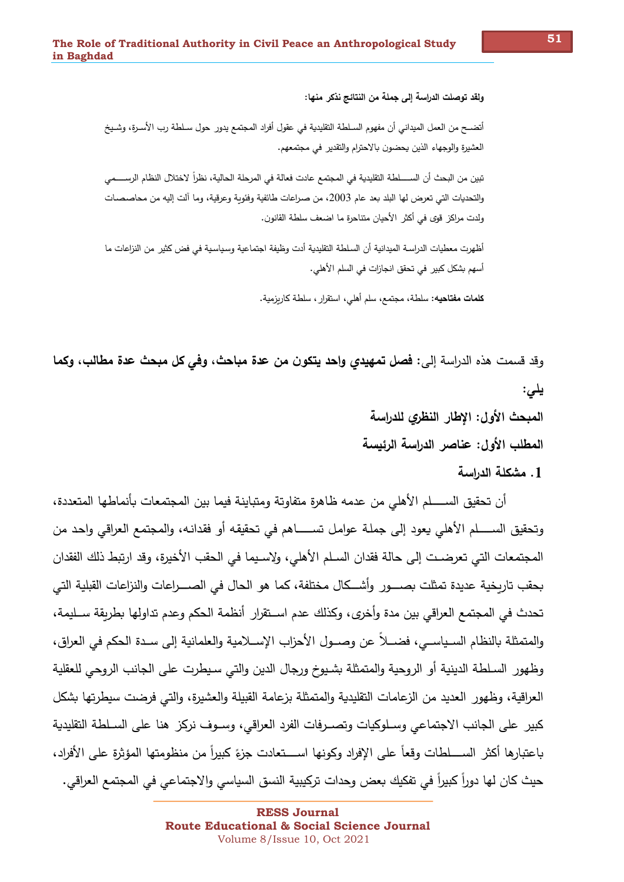ولقد توصلت الدراسة إلى جملة من النتائج نذكر منها:

أتضــح من العمل الميداني أن مفهوم السـلطة التقليدية في عقول أفراد المجتمع يدور حول سـلطة رب الأسـرة، وشـيخ العشيرة والوجهاء الذين يحضون بالاحترام والتقدير في مجتمعهم.

تبين من البحث أن الســـــلطة التقليدية في المجتمع عادت فعالة في المرحلة الحالية، نظراً لاختلال النظام الرســــمي والتحديات التي تعرض لها البلد بعد عام 2003، من صراعات طائفية وفئوية وعرقية، وما ألت إليه من محاصصات ولدت مراكز قوى في أكثر الأحيان متناحرة ما اضعف سلطة القانون.

أظهرت معطبات الدراسة الميدانية أن السلطة التقليدية أدت وظيفة اجتماعية وسياسية في فض كثير من النزاعات ما أسهم بشكل كبير في تحقق انجازات في السلم الأهلي.

**كلمات مفتاحيه:** سلطة، مجتمع، سلم أهلي، استقرارٍ، سلطة كاربزمية.

وقد قسمت هذه الدراسة إلى: فصل تمهيدي وإحد يتكون من عدة مباحث، وفي كل مبحث عدة مطالب، وكما یلی: المبحث الأول: الإطار النظري للدراسة المطلب الأول: عناصر الدراسة الرئيسة

1. مشكلة الدراسة

أن تحقيق الســـــلم الأهلي من عدمه ظاهرة متفاوتة ومتباينة فيما بين المجتمعات بأنماطها المتعددة، وتحقيق الســــــلم الأهلي يعود إلى جملـة عوامـل تســـــــاهم في تحقيقه أو فقدانـه، والمجتمع العراقي واحد من المجتمعات التي تعرضـت إلى حالة فقدان السـلم الأهلي، ولإسـيما في الحقب الأخيرة، وقد ارتبط ذلك الفقدان بحقب تاربخية عديدة تمثلت بصــــور وأشـــكال مختلفة، كما هو الحال في الصــــراعات والنزاعات القبلية التي تحدث في المجتمع العراقي بين مدة وأخرى، وكذلك عدم اســتقرار ٍ أنظمة الحكم وعدم تداولها بطربقة ســليمة، والمتمثلة بالنظام السـياسـي، فضـــلاً عن وصــول الأحزاب الإســلامية والعلمانية إلى سـدة الحكم في العراق، وظهور السلطة الدينية أو الروحية والمتمثلة بشيوخ ورجال الدين والتي سيطرت على الجانب الروحي للعقلية العراقية، وظهور العديد من الزعامات التقليدية والمتمثلة بزعامة القبيلة والعشيرة، والتي فرضت سيطرتها بشكل كبير على الجانب الاجتماعي وسـلوكيات وتصـرفات الفرد العراقي، وسـوف نركز هنا على السـلطـة التقليدية باعتبارها أكثر الســــلطات وقعاً على الإفراد وكونها اســــتعادت جزءً كبيراً من منظومتها المؤثرة على الأفراد، حيث كان لها دوراً كبيراً في تفكيك بعض وحدات تركيبية النسق السياسي والاجتماعي في المجتمع العراقي.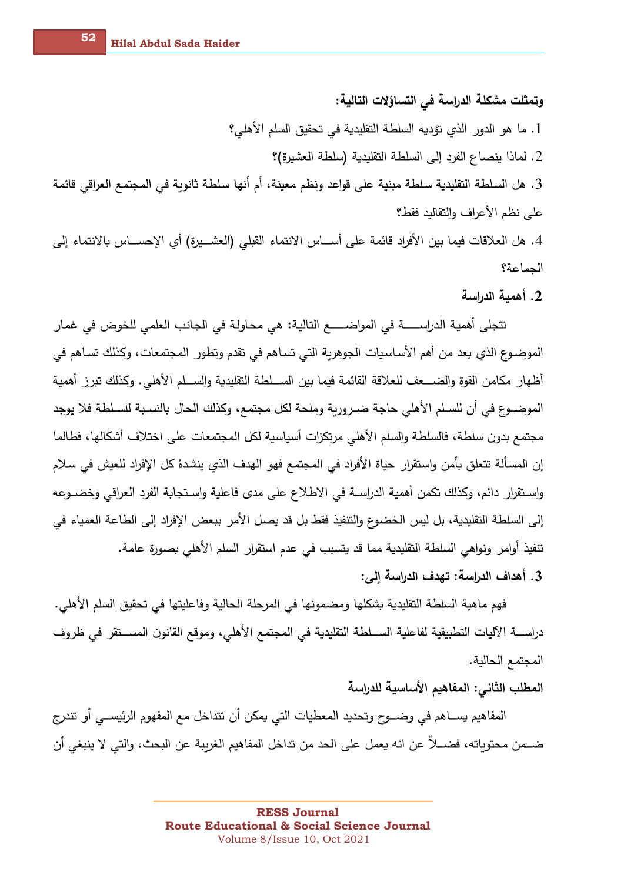وتمثلت مشكلة الدراسة في التساؤلات التالية:

1. ما هو الدور الذي تؤديه السلطة التقليدية في تحقيق السلم الأهلي؟

2. لماذا ينصاع الفرد إلى السلطة التقليدية (سلطة العشيرة)؟

3. هل السلطة التقليدية سلطة مبنية على قواعد ونظم معينة، أم أنها سلطة ثانوبة في المجتمع العراقي قائمة على نظم الأعراف والتقاليد فقط؟

4. هل العلاقات فيما بين الأفراد قائمة على أســـاس الانتماء القبلي (العشـــيرة) أي الإحســـاس بالانتماء إلى الجماعة؟

2. أهمية الدراسة

تتجلَّى أهمية الدراســــــة في المواضـــــــع التالية: هي محاولة في الجانب العلمي للخوض في غمار الموضـوع الذي يعد من أهم الأسـاسـيات الـجوهربـة التـي تسـاهم فـي تقدم وتطور المـجتمعات، وكذلك تسـاهم فـي أظهار مكامن القوة والضـــعف للعلاقة القائمة فيما بين الســـلطة التقليدية والســـلم الأهلي. وكذلك تبرز أهمية الموضــوع في أن للسـلم الأهلي حاجة ضــروربة وملحة لكل مجتمع، وكذلك الحال بالنسـبة للسـلطة فلا يوجد مجتمع بدون سلطة، فالسلطة والسلم الأهلي مرتكزات أسياسية لكل المجتمعات على اختلاف أشكالها، فطالما إن المسألة تتعلق بأمن واستقرار ٍ حياة الأفراد في المجتمع فهو الهدف الذي ينشدهُ كل الإفراد للعيش في سلام واستقرار دائم، وكذلك تكمن أهمية الدراسـة في الاطلاع على مدى فاعلية واسـتجابة الفرد العراقي وخضــوعه إلى السلطة التقليدية، بل ليس الخضوع والتنفيذ فقط بل قد يصل الأمر ببعض الإفراد إلى الطاعة العمياء في تنفيذ أوامر ونواهي السلطة التقليدية مما قد يتسبب في عدم استقرار السلم الأهلي بصورة عامة.

3. أهداف الدراسة: تهدف الدراسة إلى:

فهم ماهية السلطة التقليدية بشكلها ومضمونها في المرحلة الحالية وفاعليتها في تحقيق السلم الأهلي. دراســـة الآليات التطبيقية لفاعلية الســـلطة التقليدية في المـجتمـع الأهلي، وموقـع القانون المســـتقر في ظروف المجتمع الحالية.

المطلب الثاني: المفاهيم الأساسية للدراسة

المفاهيم يســـاهم في وضـــوح وتحديد المعطيات التي يمكن أن تتداخل مـع المفهوم الرئيســـي أو تتدرج ضــمن محتوياته، فضــلاً عن انه يعمل على الحد من تداخل المفاهيم الغريبة عن البحث، والتي لا ينبغي أن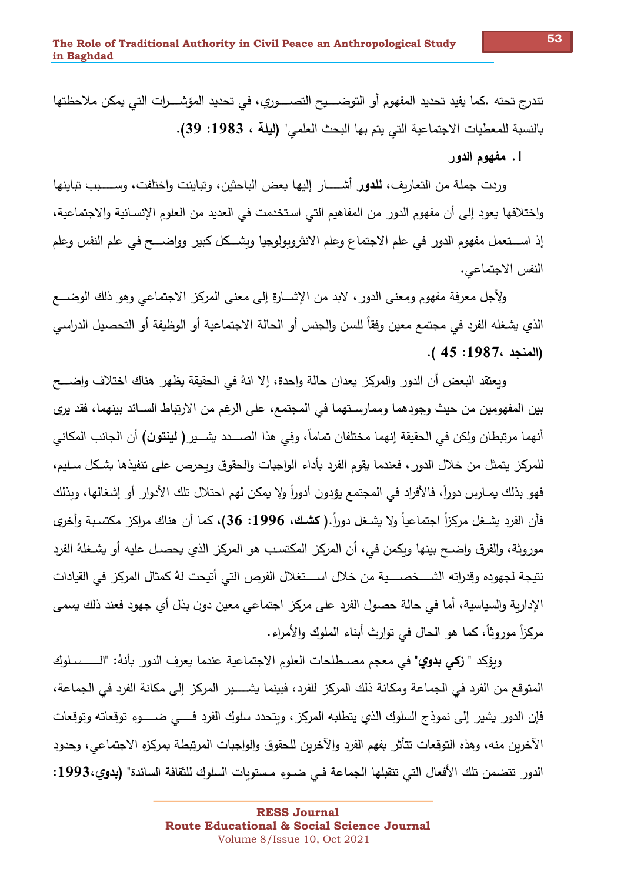تندرج تحته .كما يفيد تحديد المفهوم أو التوضــــيح التصــــوري، في تحديد المؤشـــرات التي يمكن ملاحظتها بالنسبة للمعطيات الاجتماعية التي يتم بها البحث العلمي" (ليلة ، 1983: 39).

1. مفهوم الدور

وردت جملة من التعاريف، للدور أشـــــار إليها بعض الباحثين، وتباينت وإختلفت، وســــبب تباينها واختلافها يعود إلى أن مفهوم الدور من المفاهيم التي استخدمت في العديد من العلوم الإنسـانية والاجتماعية، إذ استعمل مفهوم الدور في علم الاجتماع وعلم الانثروبولوجيا وبشكل كبير وواضـــح في علم النفس وعلم النفس الاجتماعي.

ولأجل معرفة مفهوم ومعنى الدور ، لابد من الإشــارة إلى معنى المركز الاجتماعي وهو ذلك الوضـــع الذي يشغله الفرد في مجتمع معين وفقاً للسن والجنس أو الحالة الاجتماعية أو الوظيفة أو التحصيل الدراسي (المنجد ،1987: 45 ).

ويعتقد البعض أن الدور والمركز يعدان حالة واحدة، إلا انهُ في الحقيقة يظهر هناك اختلاف واضـــح بين المفهومين من حيث وجودهما وممارسـتهما في المجتمع، على الرغم من الارتباط السـائد بينهما، فقد يري أنهما مرتبطان ولكن في الحقيقة إنهما مختلفان تماماً، وفي هذا الصـــدد يشـــير **( لينتون)** أن الجانب المكاني للمركز يتمثل من خلال الدور ، فعندما يقوم الفرد بأداء الواجبات والحقوق وبحرص على تنفيذها بشكل سـليم، فهو بذلك يمـارس دوراً، فالأفراد في المجتمع يؤدون أدوراً ولا يمكن لهم احتلال تلك الأدوار أو إشغالها، وبذلك فأن الفرد يشـغل مركزاً اجتماعياً ولا يشـغل دوراً.( كشك، 1996: 36)، كما أن هناك مراكز مكتسـبـة وأخرى موروثة، والفرق واضـح بينها وبكمن في، أن المركز المكتسـب هو المركز الذي يحصـل عليه أو يشـغلهُ الفرد نتيجة لجهوده وقدراته الشــــخصـــــية من خلال اســــتغلال الفرص التي أتيحت لهُ كمثال المركز في القيادات الإدارية والسياسية، أما في حالة حصول الفرد على مركز اجتماعي معين دون بذل أي جهود فعند ذلك يسمى مركزاً موروثاً، كما هو الحال في توارث أبناء الملوك والأمراء.

وبؤكد " زكي بدوي" في معجم مصــطلحات العلوم الاجتماعية عندما يعرف الدور بأنهُ: "الــــــسـلوك المتوقع من الفرد في الجماعة ومكانة ذلك المركز للفرد، فبينما يشـــــير المركز إلى مكانة الفرد في الجماعة، فإن الدور يشير إلى نموذج السلوك الذي يتطلبه المركز ، وبتحدد سلوك الفرد فــــي ضـــــوءِ توقعاته وتوقعات الآخرين منه، وهذه التوقعات تتأثر بفهم الفرد والآخرين للحقوق والواجبات المرتبطة بمركزه الاجتماعي، وحدود الدور ِ تتضمن تلك الأفعال التي تتقبلها الجماعة فـي ضـوءِ مـستوبات السلوك للثقافة السائدة" (بدوى،1993: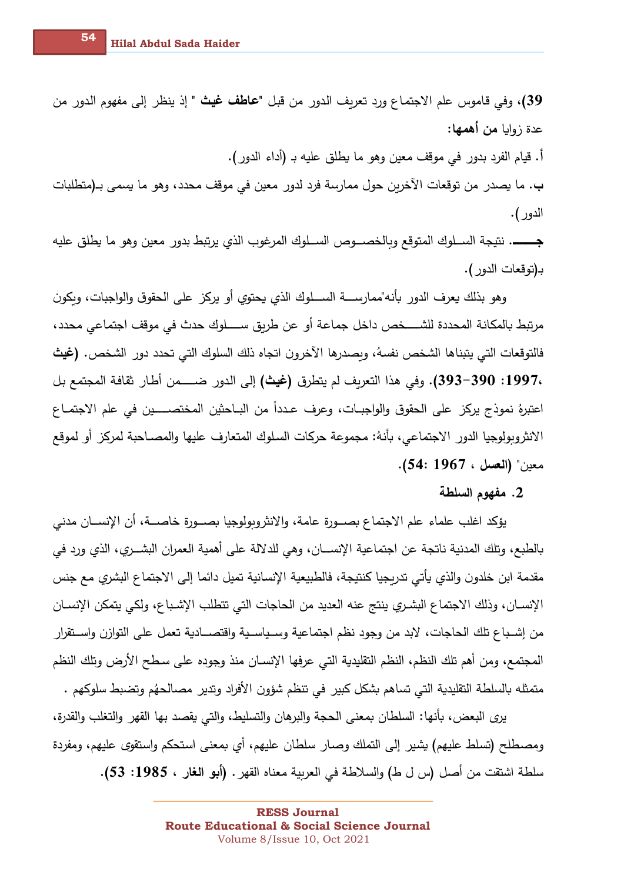39)، وفي قاموس علم الاجتماع ورد تعريف الدور من قبل "**عاطف غيث** " إذ ينظر إلى مفهوم الدور من عدة زوايا من أهمها:

أ. قيام الفرد بدور في موقف معين وهو ما يطلق عليه بـ (أداء الدور ).

ب. ما يصدر من توقعات الآخرين حول ممارسة فرد لدور معين في موقف محدد، وهو ما يسمى بـ(متطلبات الدور ).

بـ(توقعات الدور ).

وهو بذلك يعرف الدور بأنه"ممارســــة الســــلوك الذي يحتوي أو يركز على الحقوق والواجبات، وبكون فالتوقعات التي يتبناها الشخص نفسهُ، وبصدرها الآخرون اتجاه ذلك السلوك التي تحدد دور الشخص. (غيث ،1997: 390-390). وفي هذا التعريف لم يتطرق (غيث) إلى الدور ضـــــــــمن أطار نقافة المجتمع بل اعتبرهُ نموذج يركز على الحقوق والواجبـات، وعرف عـدداً من البـاحثين المختصــــين في علم الاجتمــاع الانثروبولوجيا الدور الاجتماعي، بأنهُ: مجموعة حركات السلوك المتعارف عليها والمصـاحبة لمركز أو لموقع معين" (العسل ، 1967 :54).

## 2. مفهوم السلطة

يؤكد اغلب علماء علم الاجتماع بصــورة عامة، والانثروبولوجيا بصــورة خاصـــة، أن الإنســان مدنـي بالطبع، وتلك المدنية ناتجة عن اجتماعية الإنســـان، وهي للدلالة على أهمية العمران البشـــري، الذي ورد في مقدمة ابن خلدون والذي يأتي تدريجيا كنتيجة، فالطبيعية الإنسانية تميل دائما إلى الاجتماع البشري مع جنس الإنســان، وذلك الاجتماع البشـري ينتج عنه العديد من الحاجات التي تتطلب الإشـباع، ولكي يتمكن الإنســان من إشــباع تلك الـحاجات، لابد من وجود نظم اجتماعية وســياســية واقتصـــادية تعمل على التوازن واســتقرار المجتمع، ومن أهم تلك النظم، النظم التقليدية التي عرفها الإنسـان منذ وجوده على سـطح الأرض وتلك النظم متمثله بالسلطة التقليدية التي تساهم بشكل كبير في تنظم شؤون الأفراد وتدير مصالحهُم وتضبط سلوكهم .

يري البعض، بأنها: السلطان بمعنى الحجة والبرهان والتسليط، والتي يقصد بها القهر والتغلب والقدرة، ومصطلح (تسلط عليهم) يشير إلى التملك وصـار سلطان عليهم، أي بمعنى استحكم واستقوى عليهم، ومفردة سلطة اشتقت من أصل (س ل ط) والسلاطة في العربية معناه القهر . (أبو الغار ، 1985: 53).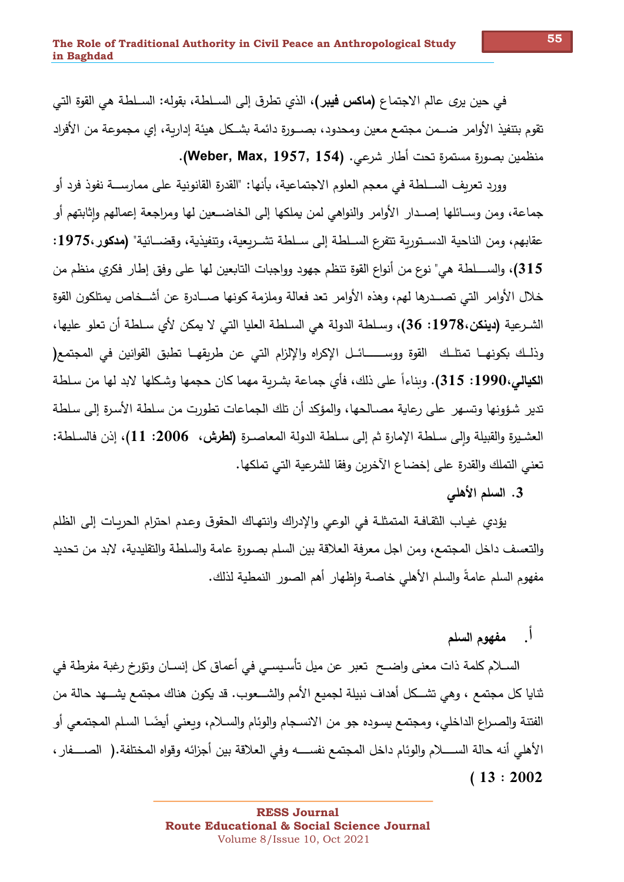في حين يرى عالم الاجتماع **(ماكس فيبر)**، الذي تطرق إلى الســلطـة، بقوله: الســلطـة هي القوة التي تقوم بتنفيذ الأوامر ضـــمن مجتمع معين ومحدود، بصـــورة دائمة بشــكل هيئة إداربـة، إى مجموعة من الأفراد منظمين بصورةِ مستمرةِ تحت أطارِ شرعِي. (Weber, Max, 1957, 154).

وورد تعريف الســـلطـة في مـعجم الـعلوم الاجتماعية، بأنها: "القدرة القانونية على ممارســـة نفوذ فرد أو جماعة، ومن وســائلها إصــدار الأوامر والنواهي لمن يملكها إلى الخاضــعين لها ومراجعة إعمالهم وإثابتهم أو عقابهم، ومن الناحية الدسـتوربة تتفرع السـلطة إلى سـلطة تشـربعية، وتنفيذية، وقضــائية" (مدكور،1975: 315)، والســــلطـة هي" نوع من أنواع القوةِ تنظم جهود وواجبات التابعين لها على وفق إطار فكرى منظم من خلال الأوامر التي تصــدرها لهم، وهذه الأوامر تعد فعالة وملزمة كونها صــادرة عن أشــخاص يمتلكون القوة الشرعية **(دينكن،1978: 36)**، وسلطة الدولة هي السلطة العليا التي لا يمكن لأي سلطة أن تعلو عليها، وذلـك بكونهــا تمتلـك القوة ووســـــــائــل الإكراه والإلزام التي عن طريقهــا تطبق القوانين في المجتمع( ا**لكيالي،1990: 315).** وبناءاً على ذلك، فأي جماعة بشربة مهما كان حجمها وشكلها لابد لها من سلطة تدير شؤونها وتسهر ٍ على رعاية مصـالحها، والمؤكد أن تلك الجماعات تطورت من سلطة الأسرة إلى سلطة العشـيرة والقبيلة وإلى سـلطة الإمارة ثم إلى سـلطة الدولة المعاصـرة **(لطرش، 2006: 11)**، إذن فالسـلطة: تعني التملك والقدرة على إخضاع الآخرين وفقا للشرعية التي تملكها.

### 3. السلم الأهلي

يؤدي غيـاب الثقـافـة المتمثلـة في الوعي والإدراك وانتهـاك الـحقوق وعـدم احترام الحربـات إلـي الظلم والتعسف داخل المجتمع، ومن اجل معرفة العلاقة بين السلم بصورة عامة والسلطة والتقليدية، لابد من تحديد مفهوم السلم عامةً والسلم الأهلي خاصة وإظهار أهم الصور النمطية لذلك.

# أً. مفهوم السلم

الســلام كلمة ذات معنى واضــح تعبر عن ميل تأسـيسـى في أعماق كل إنســان وتؤرخ رغبة مفرطة في ثنايا كل مجتمع ، وهي تشــكل أهداف نبيلة لجميع الأمم والشـــعوب. قد يكون هناك مجتمع يشـــهد حالة من الفتنة والصـراع الداخلي، ومجتمع يسـوده جو من الانسـجام والوئام والسـلام، وبعنـى أيضًــا السـلم المجتمعى أو الأهلي أنه حالة الســـــلام والوئام داخل المجتمع نفســــه وفي الـعلاقة بين أجزائه وقواه المختلفة.( الصــــفار ،  $(13:2002)$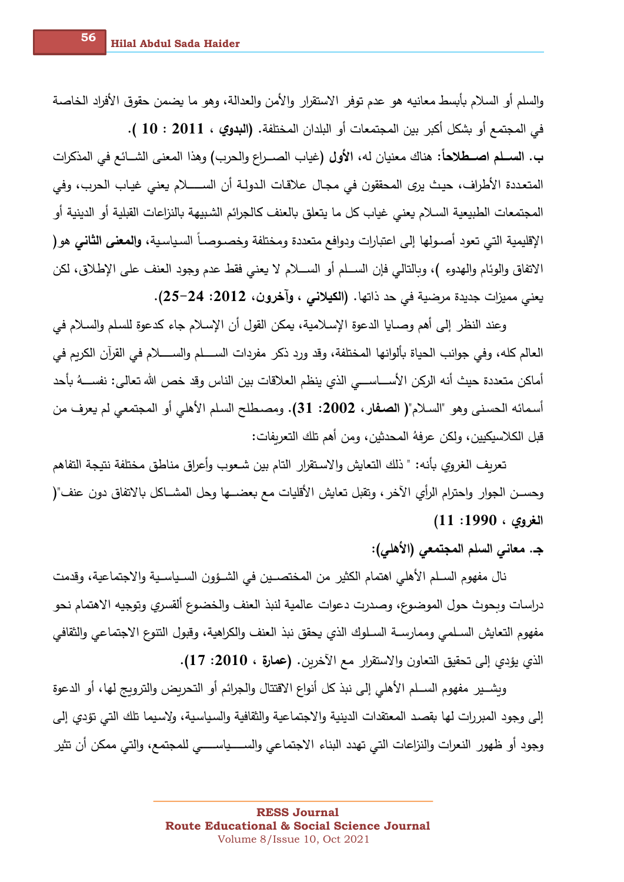والسلم أو السلام بأبسط معانيه هو عدم توفر الاستقرار والأمن والعدالة، وهو ما يضمن حقوق الأفراد الخاصة في المجتمع أو بشكل أكبر بين المجتمعات أو البلدان المختلفة. (البدوي ، 2011 : 10 ). ب. الســـلم اصـــطلاحاً: هناك معنيان له، الأول (غياب الصـــراع والحرب) وهذا المعنى الشــائـع في المذكرات المتعددة الأطراف، حيث يرى المحققون في مجال علاقات الدولـة أن الســـــلام يعني غيـاب الحرب، وفي المجتمعات الطبيعية السلام يعني غياب كل ما يتعلق بالعنف كالجرائم الشبيهة بالنزاعات القبلية أو الدينية أو الإقليمية التي تعود أصـولها إلى اعتبارات ودوافع متعددة ومختلفة وخصـوصـاً السـياسـية، والمعفى الثاني هو ( الاتفاق والوئام والهدوءِ )، وبالتالي فإن الســـلم أو الســــلام لا يعني فقط عدم وجود العنف على الإطلاق، لكن يعني مميزات جديدة مرضية في حد ذاتها. (الكيلاني ، وآخرون، 2012: 24–25).

وعند النظر إلى أهم وصـايا الدعوة الإسـلامية، يمكن القول أن الإسـلام جاء كدعوةِ للسلم والسـلام في العالم كله، وفي جوانب الحياة بألوانها المختلفة، وقد ورد ذكر مفردات الســــلم والســـــلام في القرآن الكربم في أماكن متعددة حيث أنه الركن الأســـاســـي الذي ينظم العلاقات بين الناس وقد خص الله تعالى: نفســـهُ بأحد أسمائه الحسني وهو "السلام"( الصفار، 2002: 31). ومصطلح السلم الأهلي أو المجتمعي لم يعرف من قبل الكلاسيكيين، ولكن عرفهُ المحدثين، ومن أهم تلك التعريفات:

تعريف الغروي بأنه: " ذلك التعايش والاستقرار التام بين شـعوب وأعراق مناطق مختلفة نتيجة التفاهم وحسـن الجوار واحترام الرأي الأخر ، وتقبل تعايش الأقليات مع بعضــها وحل المشــاكل بالاتفاق دون عنف"( الغروي ، 1990: 11)

# ج. معاني السلم المجتمعي (الأهلي):

نال مفهوم السـلم الأهلي اهتمام الكثير من المختصـين في الشـؤون السـياسـية والاجتماعية، وقدمت دراسات وبحوث حول الموضوع، وصدرت دعوات عالمية لنبذ العنف والخضوع ألقسري وتوجيه الاهتمام نحو مفهوم التعايش السـلمي وممارســة السـلوك الذي يحقق نبذ العنف والكراهية، وقبول التتوع الاجتماعي والثقافي الذي يؤدي إلى تحقيق التعاون والاستقرار مع الأخرين. (عمارة ، 2010: 17).

وبشــير مفهوم الســلم الأهلي إلى نبذ كل أنواع الاقتتال والجرائم أو التحريض والترويج لها، أو الدعوة إلى وجود المبررات لها بقصد المعتقدات الدينية والاجتماعية والثقافية والسياسية، ولإسيما تلك التي تؤدي إلى وجود أو ظهور النعرات والنزاعات التي تهدد البناء الاجتماعي والســــياســــي للمجتمع، والتي ممكن أن تثير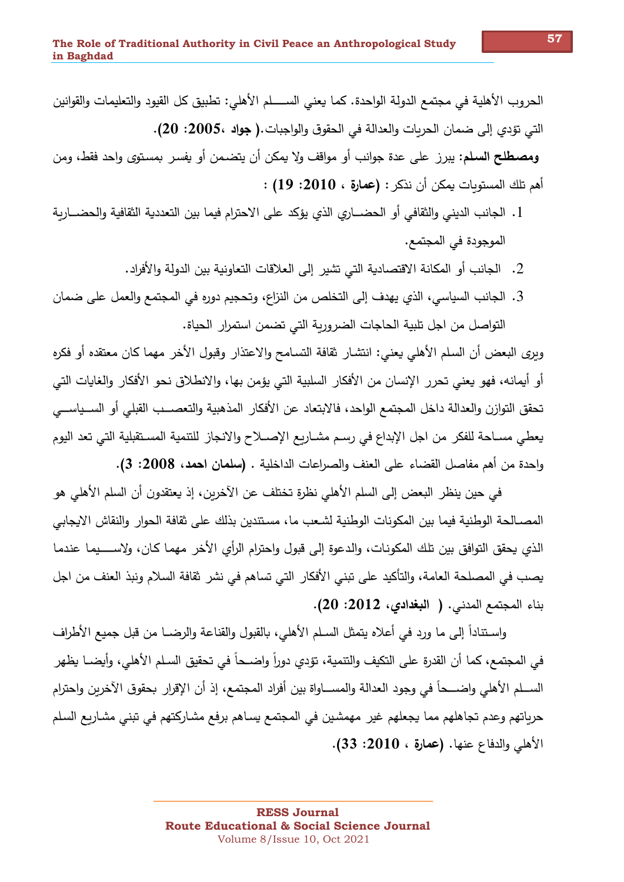الحروب الأهلية في مجتمع الدولة الواحدة. كما يعني الســـــلم الأهلي: تطبيق كل القيود والتعليمات والقوانين التي تؤدي إلى ضمان الحريات والعدالة في الحقوق والواجبات.( جواد ،2005: 20). ومصطلح السلم: يبرز على عدة جوانب أو مواقف ولا يمكن أن يتضمن أو يفسر بمستوى واحد فقط، ومن أهم تلك المستوبات يمكن أن نذكر : (عمارة ، 2010: 19) :

- 1. الجانب الديني والثقافي أو الحضـــاري الذي يؤكد على الاحترام فيما بين التعددية الثقافية والحضـــاربة الموجودة في المجتمع.
	- 2. الجانب أو المكانة الاقتصادية التي تشير إلى العلاقات التعاونية بين الدولة والأفراد.
- 3. الجانب السياسي، الذي يهدف إلى التخلص من النزاع، وتحجيم دوره في المجتمع والعمل على ضمان التواصل من اجل تلبية الحاجات الضروربة التي تضمن استمرار الحياة.

وبري البعض أن السلم الأهلي يعني: انتشار ثقافة التسامح والاعتذار وقبول الأخر مهما كان معتقده أو فكره أو أيمانه، فهو يعني تحرر الإنسان من الأفكار السلبية التي يؤمن بها، والانطلاق نحو الأفكار والغايات التي تحقق التوازن والعدالة داخل المجتمع الواحد، فالابتعاد عن الأفكار المذهبية والتعصـــب القبلي أو الســياســـي يعطي مسـاحة للفكر من اجل الإبداع في رسـم مشـاربع الإصــلاح والانجاز للتنمية المسـتقبلية التي تعد اليوم وإحدة من أهم مفاصل القضاء على العنف والصراعات الداخلية . (سلمان احمد، 2008: 3).

في حين ينظر البعض إلى السلم الأهلي نظرةٍ تختلف عن الآخرين، إذ يعتقدون أن السلم الأهلي هو المصــالـحة الوطنية فيما بين المكونات الوطنية لشـعب ما، مسـتندين بذلك على ثقافة الـحوار والنقاش الإيجابي الذي يحقق التوافق بين تلك المكونات، والدعوة إلى قبول واحترام الرأى الأخر مهما كان، ولإســــيما عندما يصب في المصلحة العامة، والتأكيد على تبني الأفكار التي تساهم في نشر ثقافة السلام ونبذ العنف من اجل بناء المجتمع المدنى. ( البغدادى، 2012: 20).

واسـتناداً إلى ما ورد في أعلاه يتمثل السـلم الأهلي، بالقبول والقناعة والرضــا من قبل جميع الأطراف في المجتمع، كما أن القدرة على التكيف والتتمية، تؤدي دوراً واضــحاً في تحقيق السـلم الأهلي، وأيضــا يظهر الســـلم الأهلي واِضــــحاً في وجود الـعدالة والمســـاواة بين أفراد المجتمع، إذ أن الإقرار بحقوق الآخرين واحترام حرياتهم وعدم تجاهلهم مما يجعلهم غير مهمشين في المجتمع يساهم برفع مشاركتهم في تبني مشاريع السلم الأهلي والدفاع عنها. (عمارة ، 2010: 33).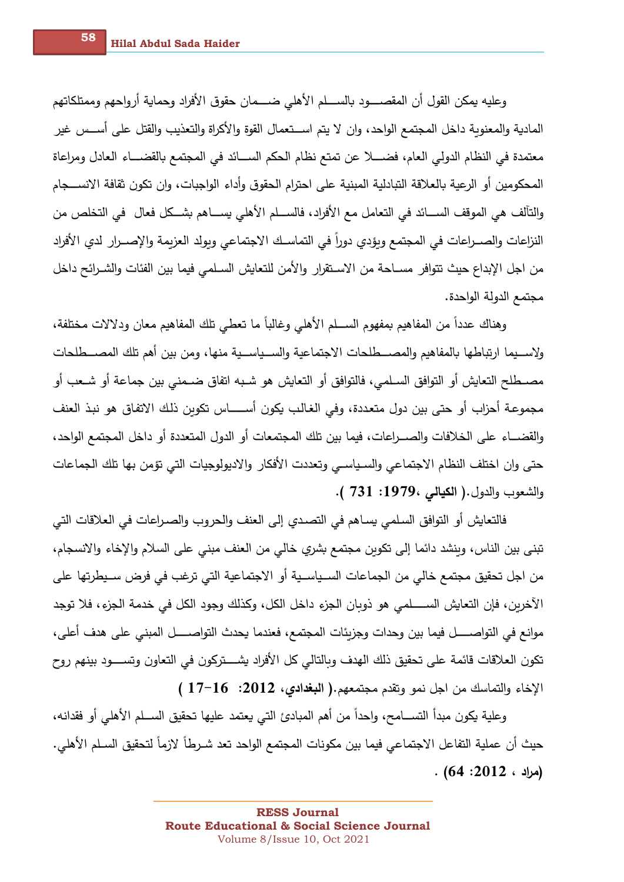وعليه يمكن القول أن المقصــــود بالســــلم الأهلي ضــــمان حقوق الأفراد وحماية أرواحهم وممتلكاتهم المادية والمعنوية داخل المجتمع الواحد، وان لا يتم اســـتعمال القوة والأكراة والتعذيب والقتل على أســس غير معتمدة في النظام الدولي العام، فضــــلا عن تمتع نظام الحكم الســـائد في المجتمع بالقضـــاء العادل ومراعاة المحكومين أو الرعية بالعلاقة التبادلية المبنية على احترام الحقوق وأداء الواجبات، وإن تكون ثقافة الانســـجام والتألف هي الموقف الســـائد في التعامل مـع الأفراد، فالســـلم الأهلـى يســـاهم بشـــكل فعال فـى التخلص من النزاعات والصــراعات في المجتمع وبؤدي دوراً في التماسـك الاجتماعي وبولد العزبمة والإصــرار لدى الأفراد من اجل الإبداع حيث تتوافر مســاحة من الاســتقرار والأمن للتعايش السـلمـي فيما بين الفئات والشــرائح داخل مجتمع الدولة الواحدة.

وهناك عدداً من المفاهيم بمفهوم الســـلم الأهلي وغالباً ما تعطي تلك المفاهيم معان ودلالات مختلفة، ولإســيما ارتباطها بالمفاهيم والمصـــطلحات الاجتماعية والســياســية منها، ومن بين أهم تلك المصـــطلحات مصــطلح التعايش أو التوافق السـلمي، فالتوافق أو التعايش هو شـبه اتفاق ضــمنـى بين جماعة أو شــعب أو مجموعة أحزاب أو حتى بين دول متعددة، وفي الغالب يكون أســــــاس تكوبن ذلك الاتفاق هو نبذ العنف والقضـــاء على الخلافات والصـــراعات، فيما بين تلك المجتمعات أو الدول المتعددة أو داخل المجتمع الواحد، حتى وإن اختلف النظام الاجتماعي والسـياسـي وتعددت الأفكار والاديولوجيات التي تؤمن بها تلك الجماعات والشعوب والدول.( الكيالى ،1979: 731 ).

فالتعايش أو التوافق السلمي يساهم في التصدي إلى العنف والحروب والصـراعات في العلاقات التي تبني بين الناس، وينشد دائما إلى تكوين مجتمع بشري خالي من العنف مبنى على السلام والإخاء والانسجام، من اجل تحقيق مجتمع خالي من الجماعات السـياسـية أو الاجتماعية التي ترغب في فرض سـيطرتها علي الآخرين، فإن التعايش الســــلمي هو ذوبان الجزء داخل الكل، وكذلك وجود الكل في خدمة الجزء، فلا توجد موانع في التواصــــــل فيما بين وحدات وجزيئات المجتمع، فعندما يحدث التواصـــــل المبني على هدف أعلي، تكون العلاقات قائمة على تحقيق ذلك الهدف وبالتالي كل الأفراد يشــــتركون في التعاون وتســــود بينهم روح الإخاء والتماسك من اجل نمو وتقدم مجتمعهم.( ا**لبغدادي، 201**2: 16-17 )

وعلية يكون مبدأ التســـامح، وإحداً من أهم المبادئ التي يعتمد عليها تحقيق الســـلم الأهلي أو فقدانـه، حيث أن عملية التفاعل الاجتماعي فيما بين مكونات المجتمع الواحد تعد شـرطاً لازماً لتحقيق السـلم الأهلي.  $. (64:2012:$ مراد ، 2012)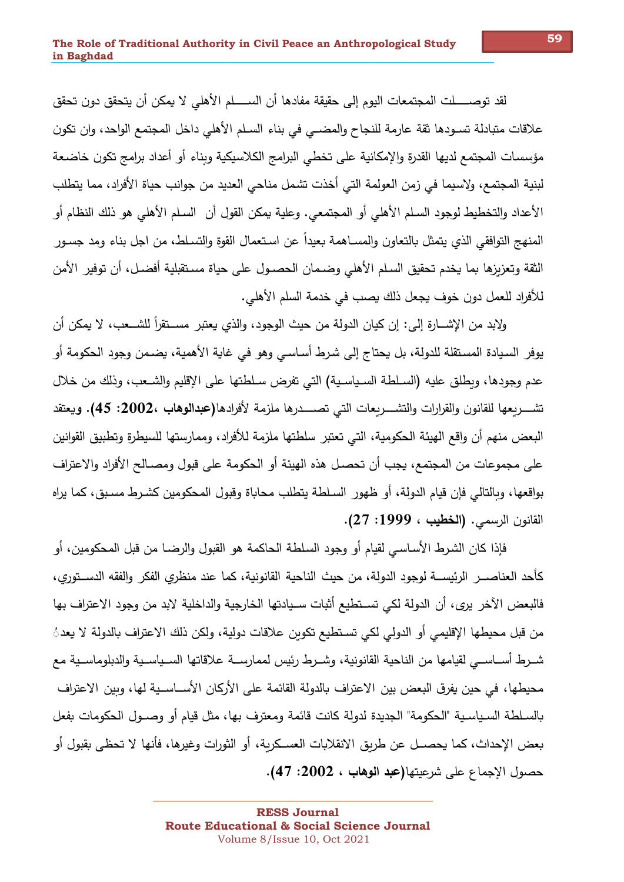لقد توصـــــلت المجتمعات اليوم إلى حقيقة مفادها أن الســـــلم الأهلي لا يمكن أن يتحقق دون تحقق علاقات متبادلة تسـودها ثقة عارمة للنجاح والمضــي في بناء السـلم الأهلي داخل المجتمع الواحد، وان تكون مؤسسات المجتمع لديها القدرة والإمكانية على تخطي البرامج الكلاسيكية وبناء أو أعداد برامج تكون خاضعة لبنية المجتمع، ولاسيما في زمن العولمة التي أخذت تشمل مناحي العديد من جوانب حياة الأفراد، مما يتطلب الأعداد والتخطيط لوجود السـلم الأهلي أو المجتمعي. وعلية يمكن القول أن السـلم الأهلي هو ذلك النظام أو المنهج التوافقي الذي يتمثل بالتعاون والمسـاهمة بعيداً عن اسـتعمال القوة والتسـلط، من اجل بناء ومد جسـور الثقة وتعزيزها بما يخدم تحقيق السلم الأهلي وضـمان الحصـول على حياة مسـتقبلية أفضـل، أن توفير الأمن للأفراد للعمل دون خوف يجعل ذلك يصب في خدمة السلم الأهلي.

ولابد من الإشــارة إلى: إن كيان الدولة من حيث الوجود، والذي يعتبر مســتقرأ للشــعب، لا يمكن أن يوفر السيادة المستقلة للدولة، بل يحتاج إلى شرط أساسي وهو في غاية الأهمية، يضمن وجود الحكومة أو عدم وجودها، وبطلق عليه (السلطة السياسية) التي تفرض سلطتها على الإقليم والشـعب، وذلك من خلال تشـــــربعها للقانون والقرارات والتشـــــربعات التــى تصــــــدرها ملزمة لأفرادها(عبدالوهاب ،2002: 45). ويعتقد البعض منهم أن واقع الهيئة الحكومية، التي تعتبر سلطتها ملزمة للأفراد، وممارستها للسيطرة وتطبيق القوانين على مجموعات من المجتمع، يجب أن تحصل هذه الهيئة أو الحكومة على قبول ومصـالح الأفراد والاعتراف بواقعها، وبالتالي فإن قيام الدولة، أو ظهور السلطة يتطلب محاباة وقبول المحكومين كشرط مسبق، كما يراه القانون الرسمي. (الخطيب ، 1999: 27).

فإذا كان الشرط الأساسي لقيام أو وجود السلطة الحاكمة هو القبول والرضـا من قبل المحكومين، أو كأحد العناصـــر الرئيســـة لوجود الدولة، من حيث الناحية القانونية، كما عند منظري الفكر والفقه الدســتوري، فالبعض الآخر يرى، أن الدولة لكي تسـتطيع أثبات سـيادتها الخارجية والداخلية لابد من وجود الاعتراف بها من قبل محيطها الإقليمي أو الدولي لكي تستطيع تكوبن علاقات دولية، ولكن ذلك الاعتراف بالدولة لا يعد ُ شــرط أســاســي لقيامها من الناحية القانونية، وشــرط رئيس لممارســة علاقاتها الســياســية والدبلوماســية مع محيطها، في حين يفرق البعض بين الاعتراف بالدولة القائمة على الأركان الأســاســية لها، وبين الاعتراف بالسـلطـة السـياسـيـة "الـحكومـة" الـجديدة لدولـة كانت قائمـة ومعترف بـها، مثل قيام أو وصــول الـحكومات بفعل بعض الإحداث، كما يحصــل عن طريق الانقلابات العسـكرية، أو الثورات وغيرها، فأنها لا تحظى بقبول أو حصول الإجماع على شرعيتها(عبد الوهاب ، 2002: 47).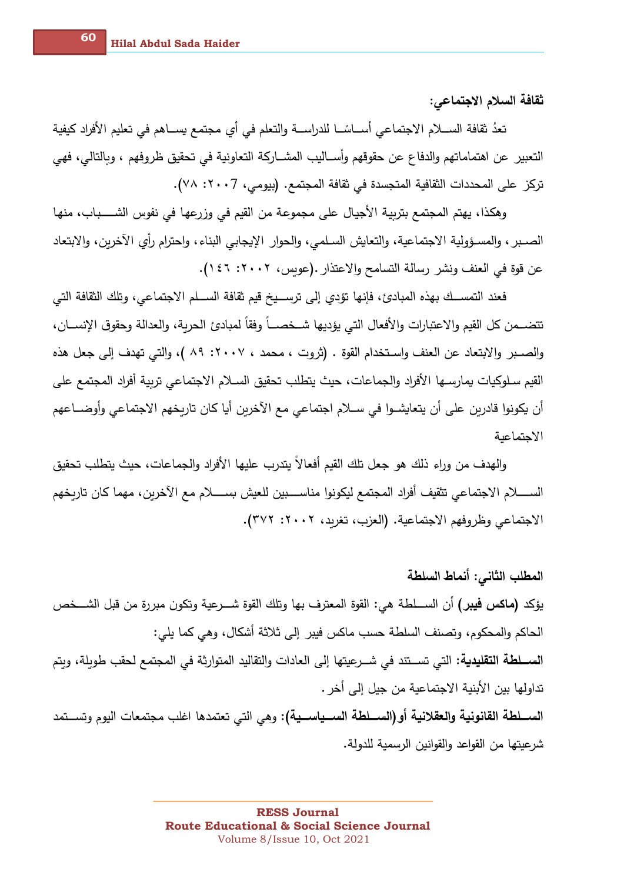ثقافة السلام الاجتماعي:

تعدُ ثقافة الســـلام الاجتماعي أســـاسًـــا للدراســـة والتعلم في أي مجتمع يســـاهم في تعليم الأفراد كيفية التعبير عن اهتماماتهم والدفاع عن حقوقهم وأســاليب المشــاركة التعاونية في تحقيق ظروفهم ، وبالتالي، فهي تركز على المحددات الثقافية المتجسدة في ثقافة المجتمع. (بيومي، ٢٠٠7: ٧٨).

وهكذا، يهتم المجتمع بتربية الأجيال على مجموعة من القيم في وزرعها في نفوس الشــــباب، منها الصـبر ، والمسـؤولية الاجتماعية، والتعايش السـلمي، والحوار الإيجابي البناء، واحترام رأى الأخربن، والابتعاد عن قوة في العنف ونشر رسالة التسامح والاعتذار .(عويس، ٢٠٠٢: ٤٦ ١).

فعند التمســك بهذه المبادئ، فإنها تؤدي إلى ترســيخ قيم ثقافة الســلم الاجتماعي، وتلك الثقافة التي تتضـــمن كل القيم والاعتبارات والأفعال التي يؤديها شــخصـــاً وفقاً لمبادئ الحربة، والعدالة وحقوق الإنســـان، والصبر والابتعاد عن العنف واستخدام القوة . (ثروت ، محمد ، ٢٠٠٧: ٨٩ )، والتي تهدف إلى جعل هذه القيم سلوكيات يمارسها الأفراد والجماعات، حيث يتطلب تحقيق السلام الاجتماعي تربية أفراد المجتمع على أن يكونوا قادربن على أن يتعايشــوا في ســلام اجتماعي مـع الآخربن أيا كان تاربخهم الاجتماعي وأوضـــاعهم الاحتماعية

والهدف من وراء ذلك هو جعل تلك القيم أفعالاً يتدرب عليها الأفراد والجماعات، حيث يتطلب تحقيق الســــــلام الاجتماعي تثقيف أفراد المجتمع ليكونوا مناســــبين للعيش بســـــلام مع الآخرين، مهما كان تاريخهم الاجتماعي وظروفهم الاجتماعية. (العزب، تغريد، ٢٠٠٢: ٣٧٢).

المطلب الثاني: أنماط السلطة يؤكد **(ماكس فيبر)** أن الســـلطـة هي: القوةِ المعترف بها وتلك القوةِ شـــرعِية وتكون مبررةٍ من قبل الشـــخص الحاكم والمحكوم، وتصنف السلطة حسب ماكس فيبر إلى ثلاثة أشكال، وهي كما يلي: الســـلطة التقليدية: التي تســتند في شــرعيتها إلى العادات والتقاليد المتوارثة في المجتمع لحقب طوبلة، وبتم تداولها بين الأبنية الاجتماعية من جيل إلى أخر . الســـلطـة القانونيـة والعقلانيـة أو (الســـلطـة الســـياســيـة): وهي التي تعتمدها اغلب مجتمعات اليوم وتســـتمد شرعيتها من القواعد والقوانين الرسمية للدولة.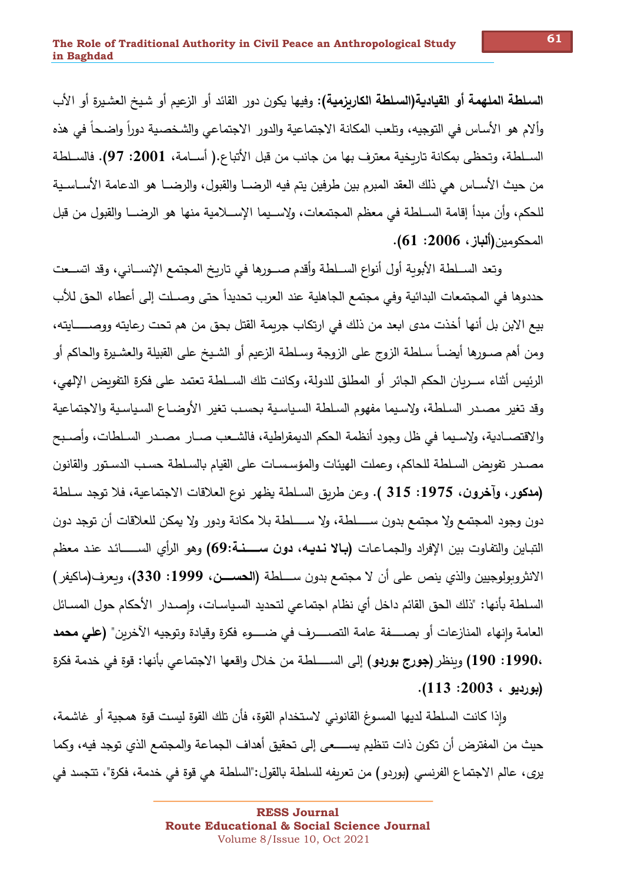**السلطة الملهمة أو القيادية(السلطة الكاربزمية):** وفيها يكون دور القائد أو الزعيم أو شيخ العشيرة أو الأب وألام هو الأساس في التوجيه، وتلعب المكانة الاجتماعية والدور الاجتماعي والشخصية دوراً واضحاً في هذه الســلطة، وتحظى بمكانة تاريخية معترف بها من جانب من قبل الأتباع.( أســامة، 2001: 97). فالســلطة من حيث الأســاس هي ذلك العقد المبرم بين طرفين يتم فيه الرضـــا والقبول، والرضـــا هو الدعامـة الأســاسـية للحكم، وأن مبدأ إقامة الســلطـة في معظم المجتمعات، ولاســيما الإســـلامية منها هو الرضـــا والقبول من قبل المحكومين(ألباز، 2006: 61).

وتِعد الســلطة الأبوبة أول أنواع الســلطة وأقدم صـــورها في تاربخ المجتمع الإنســاني، وقد اتســعت حددوها في المجتمعات البدائية وفي مجتمع الجاهلية عند العرب تحديداً حتى وصــلت إلى أعطاء الحق للأب بيع الابن بل أنها أخذت مدى ابعد من ذلك في ارتكاب جريمة القتل بحق من هم تحت رعايته ووصـــــايته، ومن أهم صــورها أيضــاً سـلطـة الزوج على الزوجة وسـلطـة الزعيم أو الشـيخ علـى القبيلة والعشـيرة والـحاكم أو الرئيس أثناء ســربان الحكم الجائر أو المطلق للدولة، وكانت تلك الســلطة تعتمد على فكرة التفويض الإلهي، وقد تغير مصدر السلطة، ولاسيما مفهوم السلطة السياسية بحسب تغير الأوضاع السياسية والاجتماعية والاقتصــادية، ولإسـيما في ظل وجود أنظمة الحكم الديمقراطية، فالشــعب صــار مصــدر السـلطات، وأصــبح مصـدر تفويض السـلطـة للـحاكم، وعملت الهيئات والمؤسـسـات علـى القيام بالسـلطـة حسـب الدسـتور والقانون (مدكور ، وآخرون، 1975: 315 ). وعن طربق السـلطـة يظهر نوع العلاقات الاجتماعية، فلا توجد سـلطـة دون وجود المجتمع ولا مجتمع بدون ســـــلطة، ولا ســـــلطة بـلا مكانة ودور ولا يمكن للعلاقات أن توجد دون التباين والتفاوت بين الإفراد والجماعات **(بـالا نـديـه، دون ســــنـة:69)** وهو الرأى الســـــائـد عنـد معظم الانثروبولوجيين والذي ينص على أن لا مجتمع بدون ســــلطة (الحســــن، 1999: 330)، وبعرف(ماكيفر ) السلطة بأنها: "ذلك الحق القائم داخل أي نظام اجتماعي لتحديد السياسات، وإصدار الأحكام حول المسائل العامة وإنهاء المنازعات أو بصـــــفة عامة التصـــــرف في ضــــــوءِ فكرةٍ وقيادة وتوجيه الآخرين" (على محمد ،1990: 190) وينظر (جورج بوردو) إلى الســــلطة من خلال واقعها الاجتماعي بأنها: قوة في خدمة فكرة (بورڊيو ، 2003: 113).

وإذا كانت السلطة لديها المسوغ القانوني لاستخدام القوة، فأن تلك القوة ليست قوة همجية أو غاشمة، حيث من المفترض أن تكون ذات تنظيم يســــعي إلى تحقيق أهداف الجماعة والمجتمع الذي توجد فيه، وكما يرى، عالم الاجتماع الفرنسي (بوردو) من تعريفه للسلطة بالقول:"السلطة هي قوة في خدمة، فكرة"، تتجسد في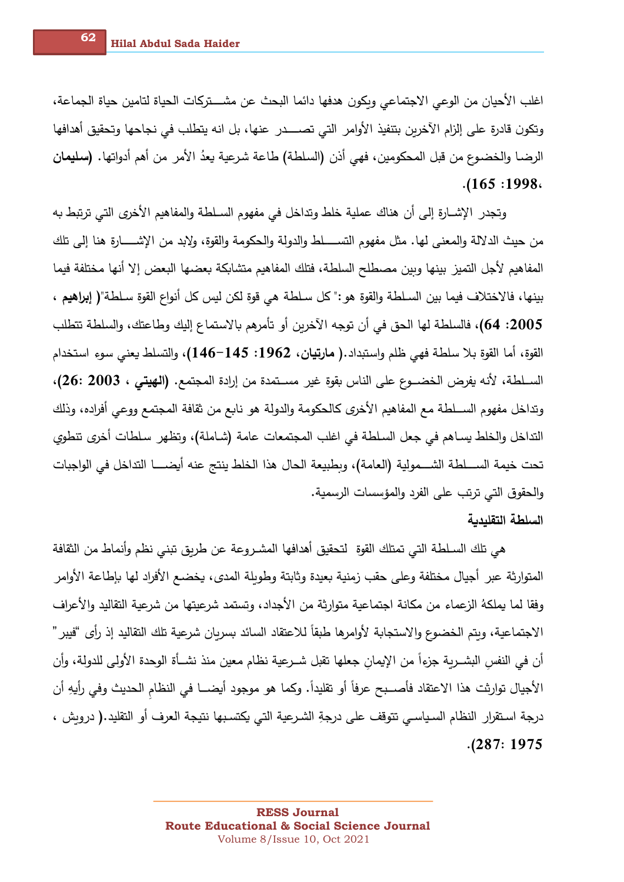اغلب الأحيان من الوعي الاجتماعي وبكون هدفها دائما البحث عن مشــــتركات الحياة لتامين حياة الجماعة، وتكون قادرة على إلزام الآخرين بتنفيذ الأوامر التي تصـــــدر عنها، بل انه يتطلب في نجاحها وتحقيق أهدافها الرضـا والخضـوع من قبل المحكومين، فهي أذن (السلطـة) طاعة شرعية يعدُ الأمر من أهم أدواتها. (سليمان  $.165:1998.$ 

وتجدر الإشــارة إلى أن هناك عملية خلط وتداخل في مفهوم الســلطة والمفاهيم الأخرى التي ترتبط به من حيث الدلالة والمعنى لها. مثل مفهوم التســـــلط والدولة والحكومة والقوة، ولإبد من الإشـــــارة هنا إلى تلك المفاهيم لأجل التميز بينها وبين مصطلح السلطة، فتلك المفاهيم متشابكة بعضها البعض إلا أنها مختلفة فيما بينها، فالاختلاف فيما بين السـلطـة والقوة هو :" كل سـلطـة هي قوة لكن ليس كل أنواع القوة سـلطـة"( إ**براهيم** ، 2005: 64)، فالسلطة لها الحق في أن توجه الآخرين أو تأمرهم بالاستماع إليك وطاعتك، والسلطة تتطلب القوة، أما القوة بلا سلطة فهي ظلم وإستبداد.( مارت**يان، 196**2: 145–146)، والتسلط يعني سوءِ استخدام الســلطة، لأنه يفرض الخضــوع على الناس بقوة غير مســتمدة من إرادة المجتمع. (الهيتي ، 2003 :26)، وتداخل مفهوم الســـلطة مع المفاهيم الأخرى كالحكومة والدولة هو نابع من ثقافة المجتمع ووعى أفراده، وذلك التداخل والخلط يسـاهم في جعل السـلطـة في اغلب المجتمعات عامـة (شـاملـة)، وتظهر سـلطات أخرى تنطوي تحت خيمة الســــلطة الشــــمولية (العامة)، وبطبيعة الحال هذا الخلط ينتج عنه أيضـــــا التداخل في الواجبات والحقوق التي ترتب على الفرد والمؤسسات الرسمية.

## السلطة التقليدية

هي تلك السـلطـة التي تمتلك القوة لتحقيق أهدافها المشـروعة عن طربق تبني نظم وأنماط من الثقافة المتوارثة عبر أجيال مختلفة وعلى حقب زمنية بعيدة وثابتة وطويلة المدى، يخضع الأفراد لها بإطاعة الأوامر وفقا لما يملكهُ الزعماء من مكانة اجتماعية متوارثة من الأجداد، وتستمد شرعيتها من شرعية التقاليد والأعراف الاجتماعية، وبتم الخضوع والاستجابة لأوامرها طبقاً للاعتقاد السائد بسربان شرعية تلك التقاليد إذ رأى "فيبر " أن في النفس البشــربـة جزءاً من الإيمان جعلها تقبل شــرعيـة نظام معين منذ نشــأة الوحدة الأولى للدولة، وأن الأجيال توارثت هذا الاعتقاد فأصــبح عرفاً أو تقليداً. وكما هو موجود أيضـــا في النظام الحديث وفي رأيهِ أن درجة استقرار النظام السياسي تتوقف على درجةِ الشرعية التي يكتسبها نتيجة العرف أو التقليد.( دروش ،  $. (287:1975$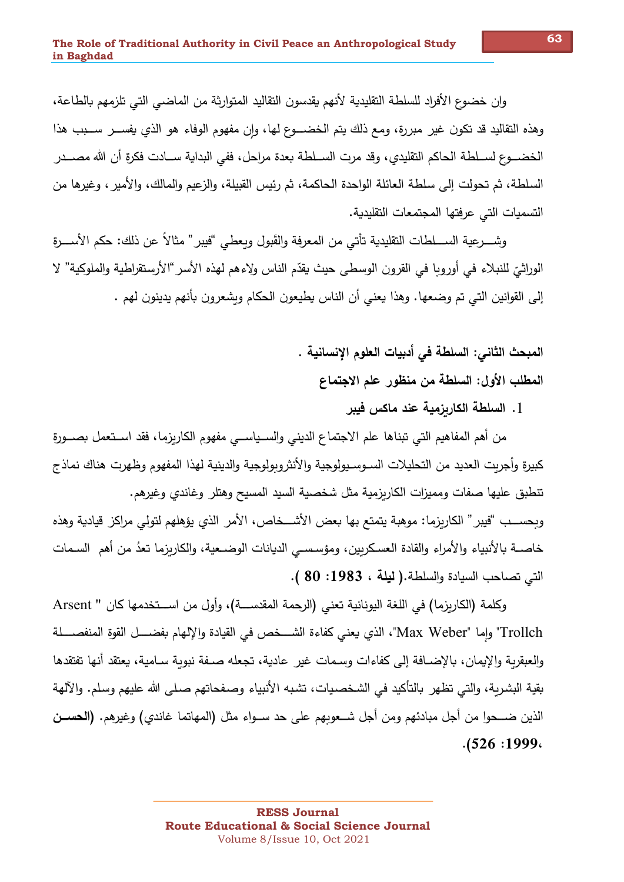وان خضوع الأفراد للسلطة التقليدية لأنهم يقدسون التقاليد المتوارثة من الماضي التي تلزمهم بالطاعة، وهذه التقاليد قد تكون غير مبررة، ومع ذلك يتم الخضـــوع لها، وإن مفهوم الوفاء هو الذي يفســـر ســـبب هذا الخضـــوع لســلطـة الـحاكم التقليدي، وقد مرت الســلطـة بعدة مراحل، ففي البدايـة ســـادت فكرةٍ أن الله مصـــدر السلطة، ثم تحولت إلى سلطة العائلة الواحدة الحاكمة، ثم رئيس القبيلة، والزعيم والمالك، والأمير ، وغيرها من التسميات التي عرفتها المجتمعات التقليدية.

وشــــرعية الســــلطات التقليدية تأتـي من المعرفة والقَبول وبعطـي "فيبر" مثالاً عن ذلك: حكم الأســــرة الوراثيّ للنبلاء في أوروبا في القرون الوسطى حيث يقدّم الناس ولإءهم لهذه الأسر "الأرستقراطية والملوكية" لا إلى القوانين التي تم وضعها. وهذا يعني أن الناس يطيعون الحكام وبشعرون بأنهم يدينون لهم .

> المبحث الثاني: السلطة في أدبيات العلوم الإنسانية . المطلب الأول: السلطة من منظور علم الاجتماع

> > 1. السلطة الكاربزمية عند ماكس فيبر

من أهم المفاهيم التي تبناها علم الاجتماع الديني والســياســي مفهوم الكاربزما، فقد اســتعمل بصـــورة كبيرة وأجربت العديد من التحليلات السـوسـيولوجية والأنثروبولوجية والدينية لهذا المفهوم وظهرت هناك نماذج تنطبق عليها صفات ومميزات الكاربزمية مثل شخصية السيد المسيح وهتلر وغاندى وغيرهم. ويحسب "فيبر " الكاريزما: موهبة يتمتع بها بعض الأشــخاص، الأمر الذي يؤهلهم لتولى مراكز قيادية وهذه

خاصــة بالأنبياء والأمراء والقادة العسكربين، ومؤسســ الديانات الوضــعية، والكاربزما تعدُ من أهم السـمات التي تصاحب السيادة والسلطة.( ليلة ، 1983: 80 ).

وكلمة (الكاربزما) في اللغة اليونانية تعني (الرحمة المقدســـة)، وأول من اســـتخدمها كان " Arsent Trollch" وإما "Max Weber"، الذي يعني كفاءة الشـــخص في القيادة والإلهام بفضــــل القوة المنفصــــلة والعبقربة والإيمان، بالإضـافة إلى كفاءات وسـمات غير ِ عادية، تجعله صـفة نبوبة سـامية، يعتقد أنها تفتقدها بقية البشربة، والتي تظهر بالتأكيد في الشخصيات، تشبه الأنبياء وصفحاتهم صلى الله عليهم وسلم. والآلهة الذين ضــــــــوا من أجل مبادئهم ومن أجل شـــعوبـهم على حد ســـواء مثل (المـهاتمـا غاندي) وغيرهم. (ا**لـحســن**  $. (526:1999)$ 

63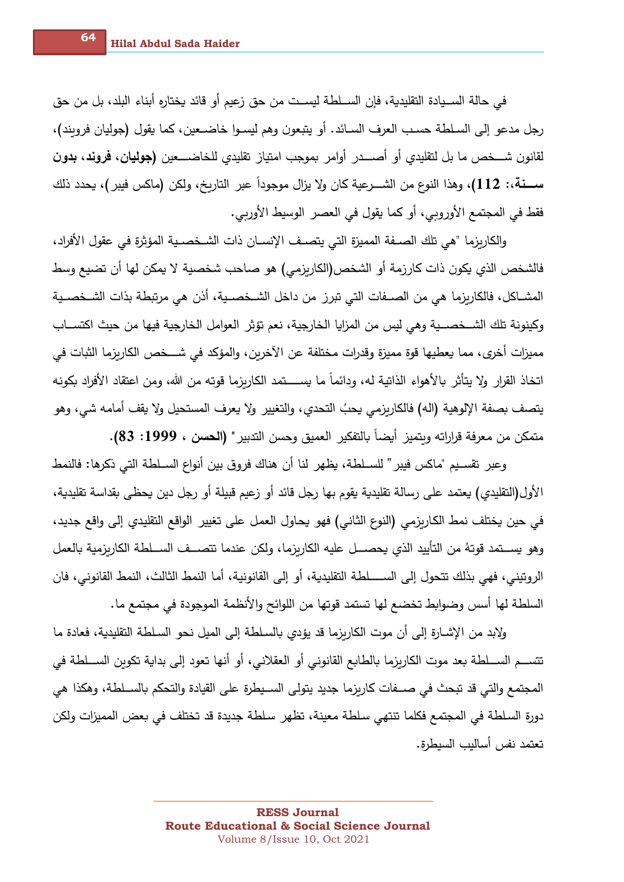في حالة الســيادة التقليدية، فإن الســلطة ليســت من حق زعيم أو قائد يختاره أبناء البلد، بل من حق رجل مدعو إلى السـلطـة حسـب الـعرف السـائد. أو يتبعون وهم ليسـوا خاضـعين، كما يقول (جوليان فرويند)، لقانون شـــخص ما بل لتقليدي أو أصــــدر أوامر بموجب امتياز تقليدي للخاضــــعين **(جوليان، فروند، بدون** ســـــــــــة،: 112)، وهذا النوع من الشـــــرعية كان ولا يزال موجوداً عبر التاريخ، ولكن (ماكس فيبر)، يحدد ذلك فقط في المجتمع الأوروبي، أو كما يقول في العصر الوسيط الأوربي.

والكاربزما "هي تلك الصـفة المميزة التي يتصـف الإنسـان ذات الشـخصـية المؤثرة في عقول الأفراد، فالشخص الذي يكون ذات كارزمة أو الشخص(الكاربزمي) هو صاحب شخصية لا يمكن لها أن تضيع وسط المشــاكل، فالكاربزما هي من الصــفات التي تبرز من داخل الشــخصــية، أذن هي مرتبطة بذات الشــخصــية وكينونة تلك الشــخصـــية وهي ليس من المزايا الخارجية، نعم تؤثر العوامل الخارجية فيها من حيث اكتســاب مميزات أخرى، مما يعطيها قوة مميزة وقدرات مختلفة عن الآخربن، والمؤكد في شــــخص الكاربزما الثبات في اتخاذ القرار ولا يتأثر بالأهواء الذاتية له، ودائماً ما يســــتمد الكاربزما قوته من الله، ومن اعتقاد الأفراد بكونه يتصف بصفة الإلوهية (اله) فالكاريزمي يحبُ التحدي، والتغيير ولا يعرف المستحيل ولا يقف أمامه شي، وهو متمكن من معرفة قراراته وبتميز أيضاً بالتفكير العميق وحسن التدبير" (الحسن ، 1999: 83).

وعبر \_تقسـيم "ماكس فيبر " للســلطـة، يظهر \_لنا أن هناك فروق بين أنواع الســلطـة التي ذكرها: فالنمط الأول(التقليدي) يعتمد على رسالة تقليدية يقوم بها رجل قائد أو زعيم قبيلة أو رجل دين يحظى بقداسة تقليدية، في حين يختلف نمط الكاربزمي (النوع الثاني) فهو يحاول العمل على تغيير الواقع التقليدي إلى واقع جديد، وهو يســـتمد قوتهُ من التأييد الذي يحصـــل عليه الكاربزما، ولكن عندما تتصـــف الســـلطة الكاربزمية بالعمل الروتيني، فهي بذلك تتحول إلى الســـــــلطة التقليدية، أو إلى القانونية، أما النمط الثالث، النمط القانوني، فان السلطة لها أسس وضوابط تخضع لها تستمد قوتها من اللوائح والأنظمة الموجودة في مجتمع ما .

ولابد من الإشــارةِ إلـى أن موت الكاربزما قد يؤدي بالسـلطـة إلـى الميل نـحو السـلطـة التقليديـة، فعادة ما تتســم الســـلطـة بـعد موت الكاربزما بالطابـع القانونـي أو الـعقلانـي، أو أنها تـعود إلـي بدايـة تكوبن الســـلطـة في المجتمع والتي قد تبحث في صـــفات كاريزما جديد يتولى الســيطرة على القيادة والتحكم بالســلطة، وهكذا هي دورة السلطة في المجتمع فكلما تنتهي سلطة معينة، تظهر سلطة جديدة قد تختلف في بعض المميزات ولكن تعتمد نفس أساليب السيطرة.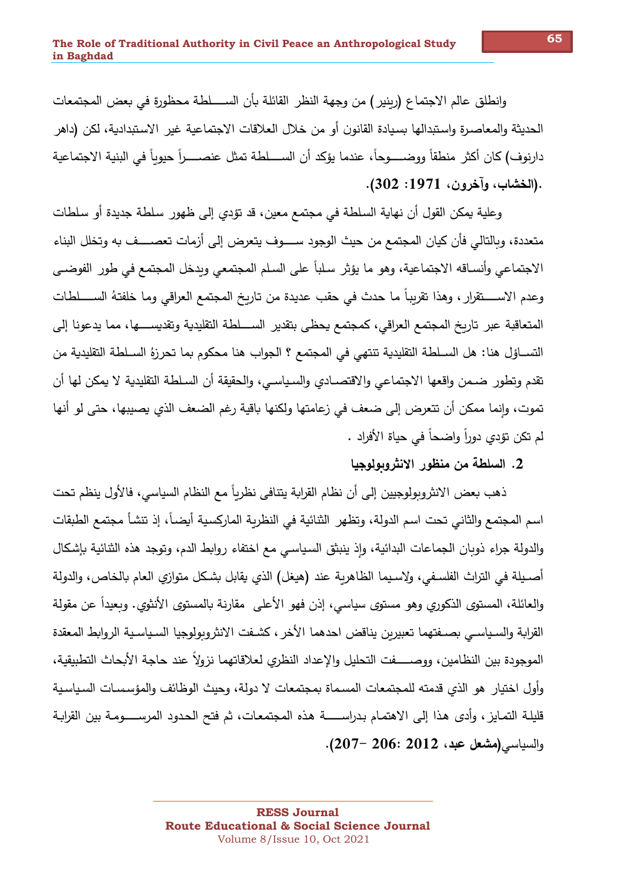وانطلق عالم الاجتماع (ربنير ) من وجهة النظر القائلة بأن الســــلطة محظورة في بعض المجتمعات الحديثة والمعاصرة واستبدالها بسيادة القانون أو من خلال العلاقات الاجتماعية غير الاستبدادية، لكن (داهر دارنوف) كان أكثر ٍ منطقاً ووضــــوجاً، عندما يؤكد أن الســــلطة تمثل عنصــــراً حيوباً في البنية الاجتماعية .(الخشاب، وآخرون، 1971: 302).

وعلية يمكن القول أن نهاية السلطة في مجتمع معين، قد تؤدي إلى ظهور سلطة جديدة أو سلطات متعددة، وبالتالي فأن كيان المجتمع من حيث الوجود ســــوف يتعرض إلى أزمات تعصــــف به وتخلل البناء الاجتماعي وأنساقه الاجتماعية، وهو ما يؤثر سلباً على السلم المجتمعي ويدخل المجتمع في طور الفوضـي وعدم الاســــــتقرار ، وهذا تقريباً ما حدث في حقب عديدة من تاريخ المجتمع العراقي وما خلفتهُ الســـــلطات المتعاقبة عبر تاربخ المجتمع العراقي، كمجتمع يحظى بتقدير الســــلطة التقليدية وتقديســــها، مما يدعونا إلى التســاؤل هنا: هل الســلطـة التقليديـة تنتهي في المـجتمـع ؟ الـجواب هنا مـحكوم بما تـحرزهُ الســلطـة التقليدية من تقدم وتطور ضـمن واقعها الاجتماعي والاقتصـادي والسـياسـي، والـحقيقة أن السـلطـة التقليدية لا يمكن لها أن تموت، وإنما ممكن أن تتعرض إلى ضعف في زعامتها ولكنها باقية رغم الضعف الذي يصيبها، حتى لو أنها لم تكن تؤدي دوراً واضحاً في حياة الأفراد .

## 2. السلطة من منظور الانثروبولوجيا

ذهب بعض الانثروبولوجيين إلى أن نظام القرابة يتنافى نظرياً مع النظام السياسي، فالأول ينظم تحت اسم المجتمع والثاني تحت اسم الدولة، وتظهر ِ الثنائية في النظرية الماركسية أيضـاً، إذ تنشأ مجتمع الطبقات والدولة جراء ذوبان الجماعات البدائية، وإذ ينبثق السياسي مع اختفاء روابط الدم، وتوجد هذه الثنائية بإشكال أصـيلة في التراث الفلسـفي، ولاسـيما الظاهربـة عند (هيغل) الذي يقابل بشـكل متوازي العام بالخاص، والدولـة والعائلة، المستوى الذكوري وهو مستوى سياسي، إذن فهو الأعلى ٍ مقارنة بالمستوى الأنثوي. وبعيداً عن مقولة القرابة والسياسي بصـفتهما تعبيربن يناقض احدهما الأخر ، كشـفت الانثروبولوجيا السـياسـية الروابط المعقدة الموجودة بين النظامين، ووصـــــفت التحليل والإعداد النظري لعلاقاتهما نزولاً عند حاجة الأبحاث التطبيقية، وأول اختيار هو الذي قدمته للمجتمعات المسماة بمجتمعات لا دولة، وحيث الوظائف والمؤسسات السياسية قليلـة التمـايز ، وأدى هذا إلـى الاهتمـام بـدراســــــة هذه المـجتمعـات، ثم فتح الـحدود المرســـــومـة بين القرابـة والسياسي (مشعل عبد، 2012 :206 –207).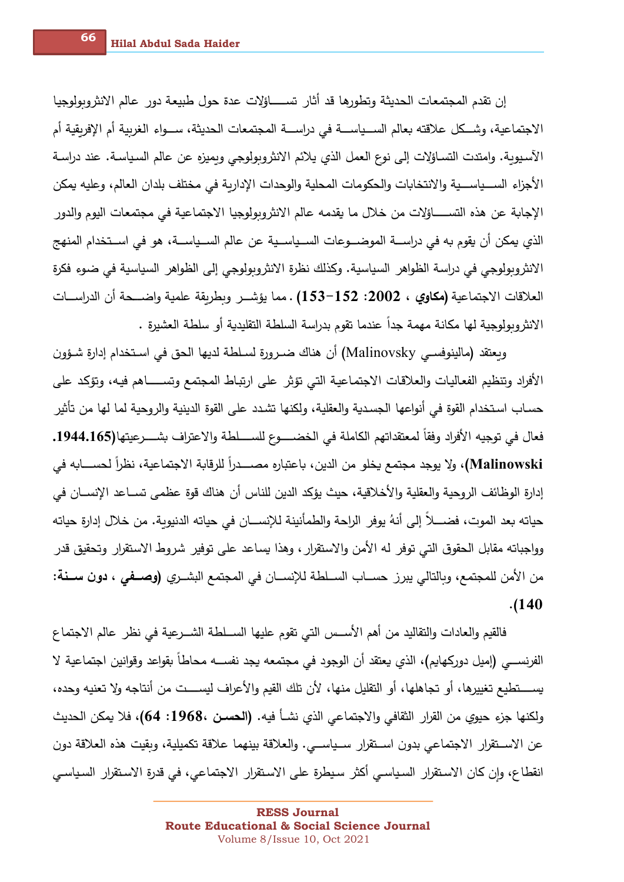اـهرrYتو ةـgی\$ـ6لا تاـع&NG&لا م\$ـقت نإ اـ8جYلûYوgEنلاا >لاـع رود ةـع8TI لYح ة\$ـع تلاؤاــــــــــــــ%ت راـثأ \$ـق الاجتماعية، وشــكل علاقته بعالم الســياســـة في دراســـة المجتمعات الـحديثة، ســـواء الغربية أم الإفريقية أم الآسيوبة. وامتدت التساؤلات إلى نوع العمل الذي يلائم الانثروبولوجي وبميزه عن عالم السياسة. عند دراسة الأجزاء الســـياســـية والانتخابات والحكومات المحلية والوحدات الإداربة في مختلف بلدان العالم، وعليه يمكن الإجابة عن هذه التســــــاؤلات من خلال ما يقدمه عالم الانثروبولوجيا الاجتماعية في مجتمعات اليوم والدور الذي يمكن أن يقوم به في دراســـة الموضــــوعات الســياســية عن عالم الســياســـة، هو في اســتخدام المنهج الانثروبولوجي في دراسة الظواهر السياسية. وكذلك نظرة الانثروبولوجي إلى الظواهر السياسية في ضوءٍ فكرة العلاقات الاجتماعية **(مكاوي ، 2002: 152-153) . مما يؤشــر وبطريقة علمية واضــــحة أن الدراســـات** الانثروبولوجية لها مكانة مهمة جداً عندما تقوم بدراسة السلطة التقليدية أو سلطة العشيرة .

وبعتقد (مالينوفســ Malinovsky) أن هناك ضـرورة لسـلطـة لديها الحق في اسـتخدام إدارة شـؤون الأفراد وتنظيم الفعاليات والعلاقات الاجتماعية التي تؤثر على ارتباط المجتمع وتســـــاهم فيه، وتؤكد على حسـاب اسـتخدام القوة في أنواعها الجسدية والعقلية، ولكنها تشـدد علـي القوة الدينية والروحية لما لها من تأثير فعال في توجيه الأفراد وفقاً لمعتقداتهم الكاملة في الخضـــــوع للســــلطة والاعتراف بشــــرعيتها(165**.**1944.165 Malinowski)، ولا يوجد مجت*م*ع يخلو من الدين، باعتباره مصـــــدراً للرقابة الاجتماعية، نظراً لـحســـابه في إدارة الوظائف الروحية والعقلية والأخلاقية، حيث يؤكد الدين للناس أن هناك قوة عظمى تســاعد الإنســان في حياته بعد الموت، فضـــــلا إلى أنهُ يوفر الراحة والطمأنينة للإنســـان في حياته الدنيوية. من خلال إدارة حياته وواجباته مقابل الحقوق التي توفر له الأمن والاستقرار ، وهذا يساعد على توفير شروط الاستقرار وتحقيق قدر من الأمن للمجتمع، وبالتالي يبرز حســاب الســلطة للإنســان في المجتمع البشــري **(وصــفي ، دون ســـنـة: .(140**

فالقيم والعادات والتقاليد من أهم الأســـس التي تقوم عليها الســـلطة الشـــرعية في نظر عالم الاجتماع الفرنســـي (إميل دوركـهايم)، الذي يعتقد أن الوجود في مجتمعه يجد نفســـه محاطا بقواعد وقوانين اجتماعية لا يســــتطيع تغييرها، أو تجاهلها، أو التقليل منها، لأن تلك القيم والأعراف ليســـت من أنتاجه ولا تعنيه وحده، ولكنها جزء حيوي من القرار الثقافي والاجتماعي الذي نشــأ فيه. **(الـحسـن ،1968: 64)،** فلا يمكن الـحديث عن الاســتقرار الاجتماعي بدون اســتقرار ســياســـي. والعلاقة بينهما علاقة تكميلية، وبقيت هذه العلاقة دون انقطاع، وإن كان الاستقرار السياسي أكثر سيطرة على الاستقرار الاجتماعي، في قدرة الاستقرار السياسي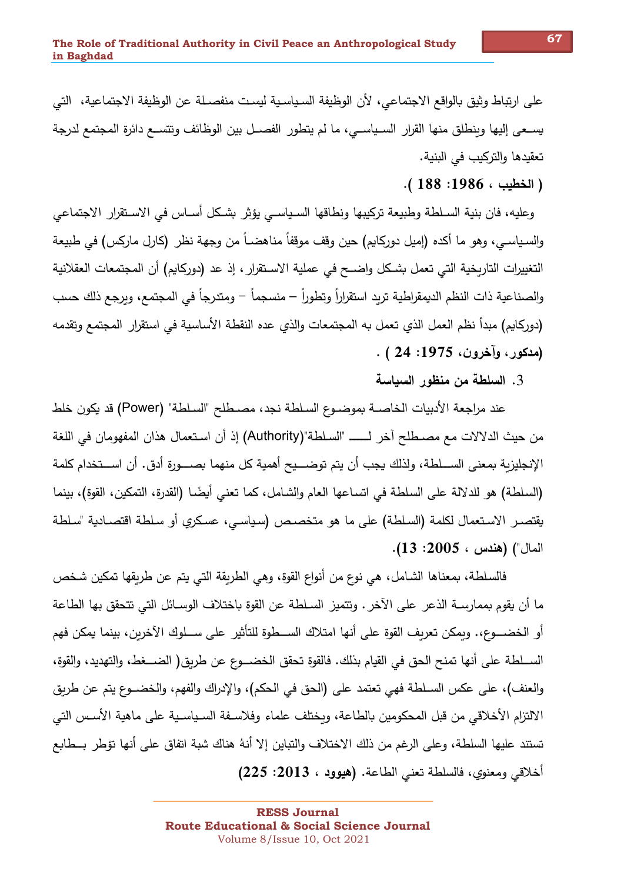على ارتباط وثيق بالواقع الاجتماعي، لأن الوظيفة السياسية ليست منفصـلة عن الوظيفة الاجتماعية، التي يســعي إليها وينطلق منها القرار السـياســي، ما لم يتطور الفصــل بين الوظائف وتتســع دائرة المجتمع لدرجة تعقيدها والتركيب في البنية.

(الخطيب ، 1986: 188 ).

وعليه، فان بنية السـلطـة وطبيعة تركيبها ونطاقها السـياسـي يؤثر بشـكل أسـاس في الاسـتقرار الاجتماعي والسياسي، وهو ما أكده (إميل دوركايم) حين وقف موقفاً مناهضـاً من وجهة نظر (كارل ماركس) في طبيعة التغييرات التاربخية التي تعمل بشكل واضــح في عملية الاسـتقرار ، إذ عد (دوركايم) أن المجتمعات العقلانية والصناعية ذات النظم الديمقراطية تربد استقراراً وتطوراً – منسجماً – ومتدرجاً في المجتمع، وبرجع ذلك حسب (دوركايم) مبدأ نظم العمل الذي تعمل به المجتمعات والذي عده النقطة الأساسية في استقرار ِ المجتمع وتقدمه (مدكور، وآخرون، 1975: 24 ) .

3. السلطة من منظور السياسة

عند مراجعة الأدبيات الخاصــة بموضــوع السـلطـة نجد، مصــطلح "السـلطـة" (Power) قد يكون خلط الإنجليزية بمعنى الســـلطة، ولذلك يجب أن يتم توضـــيح أهمية كل منهما بصـــورة أدق. أن اســـتخدام كلمة (السلطة) هو للدلالة على السلطة في اتساعها العام والشامل، كما تعني أيضًا (القدرة، التمكين، القوة)، بينما يقتصـر الاسـتعمال لكلمة (السـلطـة) على ما هو متخصـص (سـياسـي، عسكري أو سـلطـة اقتصـادية "سـلطـة المال") (هندس ، 2005: 13).

فالسلطة، بمعناها الشامل، هي نوع من أنواع القوة، وهي الطريقة التي يتم عن طريقها تمكين شخص ما أن يقوم بممارســة الذعر على الآخر . وتتميز السـلطـة عن القوة باختلاف الوسـائل التي تتحقق بها الطاعة أو الخضــــوع،. ويمكن تعريف القوة على أنها امتلاك الســــطوة للتأثير على ســـلوك الآخرين، بينما يمكن فهم الســـلطة على أنها تمنح الحق في القيام بذلك. فالقوة تحقق الخضـــوع عن طربق( الضـــغط، والتهديد، والقوة، والعنف)، على عكس السـلطة فهي تعتمد على (الحق في الحكم)، والإدراك والفهم، والخضــوع يتم عن طريق الالتزام الأخلاقي من قبل المحكومين بالطاعة، وبختلف علماء وفلاسـفة السـياسـية على ماهية الأسـس التي تستند عليها السلطة، وعلى الرغم من ذلك الاختلاف والتباين إلا أنهُ هناك شبة اتفاق على أنها تؤطر بــطابع أخلاقي ومعنوي، فالسلطة تعني الطاعة. (هيوود ، 2013: 225)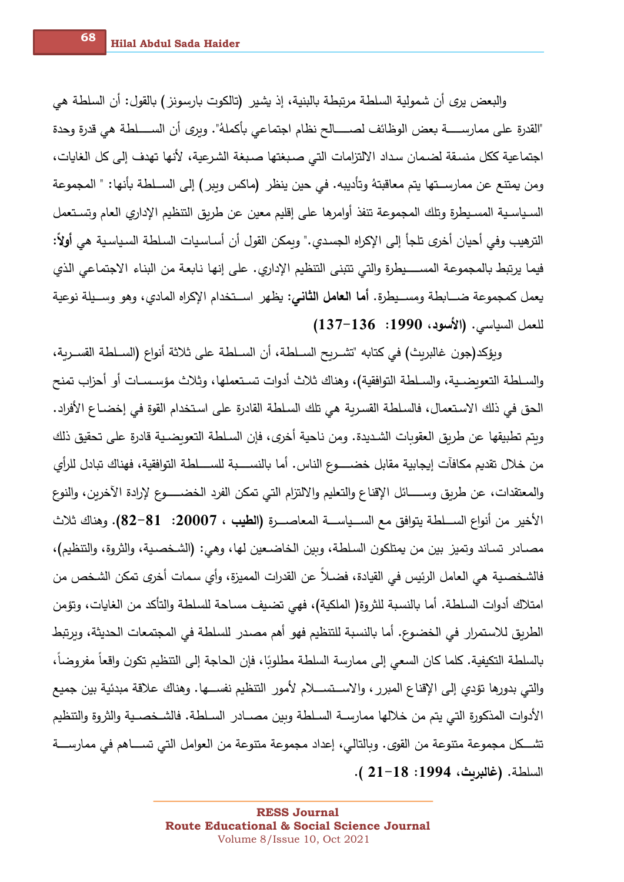والبعض يري أن شمولية السلطة مرتبطة بالبنية، إذ يشير ِ (تالكوت بارسونز ) بالقول: أن السلطة هي "القدرة على ممارســـــــة بعض الوظائف لصـــــــالح نظام اجتماعي بأكملهُ". وبرى أن الســـــلطة هي قدرة وحدة اجتماعية ككل منسقة لضمان سداد الالتزامات التي صبغتها صبغة الشرعية، لأنها تهدف إلى كل الغايات، ومن يمتنع عن ممارســتها يتم معاقبتهُ وتأديبه. في حين ينظر (ماكس ويبر) إلى الســلطة بأنها: " المجموعة السـياسـية المسـيطرة وتلك المجموعة تنفذ أوامرها على إقليم معين عن طربق التنظيم الإداري العام وتسـتعمل الترهيب وفي أحيان أخرى تلجأ إلى الإكراه الجسدي." وبمكن القول أن أسـاسـيات السلطـة السـياسـيـة هي أولأ: فيما يرتبط بالمجموعة المســــيطرة والتي تتبنى التنظيم الإداري. على إنها نابعة من البناء الاجتماعي الذي يعمل كمجموعة ضـــابطة ومســيطرة. أ**ما العامل الثاني**: يظهر اســتخدام الإكراه المادي، وهو وســيلة نوعية للعمل السياسي. (الأسود، 1990: 136–137)

وبؤكد(جون غالبريث) في كتابه "تشــربح الســلطـة، أن الســلطـة على ثلاثة أنواع (الســلطـة القســربـة، والسـلطـة التعويضـيـة، والسـلطـة التوافقية)، وهناك ثلاث أدوات تسـتعملها، وثلاث مؤسـسـات أو أحزاب تمنح الحق في ذلك الاستعمال، فالسلطة القسربة هي تلك السلطة القادرةِ على استخدام القوةِ في إخضــاع الأفراد. وبتم تطبيقها عن طربق العقوبات الشديدة. ومن ناحية أخرى، فإن السلطة التعوبضـية قادرة على تحقيق ذلك من خلال تقديم مكافآت إيجابية مقابل خضـــــوع الناس. أما بالنســــبة للســــلطـة التوافقية، فهناك تبادل للرأي والمعتقدات، عن طربق وســـــائل الإقناع والتعليم والالتزام التي تمكن الفرد الخضــــــوع لإرادة الآخرين، والنوع الأخير من أنواع الســلطـة يتوافق مـع الســياســـة المعاصــــرة **(الطيب ، 20007: 81-82).** وهناك ثلاث مصـادر تسـاند وتميز بين من يمتلكون السلطة، وبين الخاضـعين لها، وهي: (الشـخصـية، والثروة، والتتظيم)، فالشـخصـيـة هي الـعامل الرئيس في القيادة، فضـلا عن القدرات المميزة، وأي سمات أخرى تمكن الشـخص من امتلاك أدوات السلطة. أما بالنسبة للثروة( الملكية)، فهي تضيف مساحة للسلطة والتأكد من الغايات، وتؤمن الطريق للاستمرار في الخضوع. أما بالنسبة للتنظيم فهو أهم مصدر للسلطة في المجتمعات الحديثة، ويرتبط بالسلطة التكيفية. كلما كان السعي إلى ممارسة السلطة مطلوبًا، فإن الحاجة إلى التنظيم تكون واقعاً مفروضاً، والتي بدورها تؤدي إلى الإقناع المبرر ، والاســتســـلام لأمور التنظيم نفســـها. وهناك علاقة مبدئية بين جميع الأدوات المذكورة التي يتم من خلالها ممارســة السـلطـة وبين مصــادر السـلطـة. فالشـخصـيـة والثروة والتنظيم تشـــكل مجموعة متنوعة من القوى. وبالتالي، إعداد مجموعة متنوعة من العوامل التي تســــاهم في ممارســــة السلطة. (غالبربث، 1994: 18–21 ).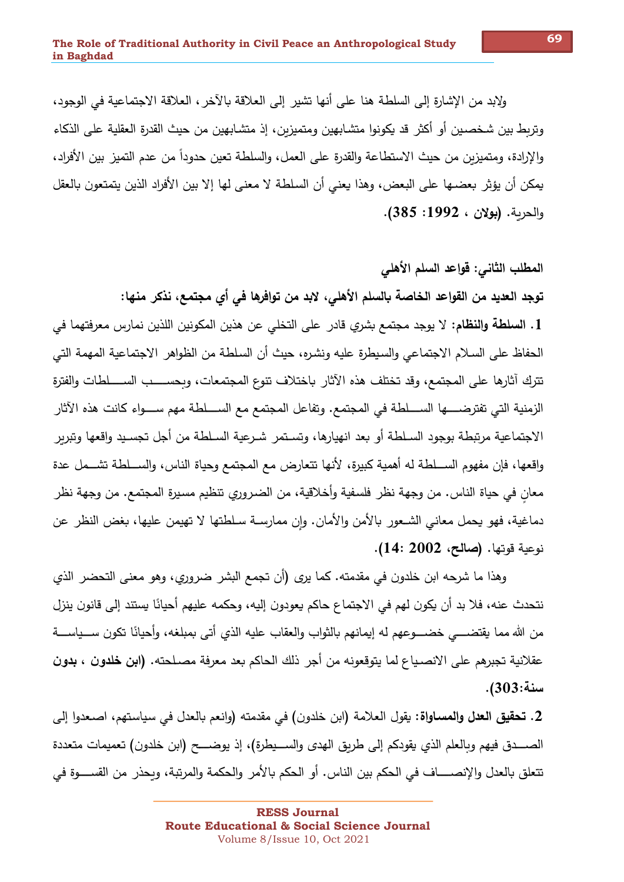ولابد من الإشارة إلى السلطة هنا على أنها تشير إلى العلاقة بالآخر ، العلاقة الاجتماعية في الوجود، وتربط بين شخصـين أو أكثر قد يكونوا متشـابهين ومتميزبن، إذ متشـابهين من حيث القدرة العقلية على الذكاء والإرادة، ومتميزين من حيث الاستطاعة والقدرة على العمل، والسلطة تعين حدوداً من عدم التميز بين الأفراد، يمكن أن يؤثر بعضـها علـى البعض، وهذا يعنـى أن السلطـة لا معنـى لها إلا بين الأفراد الذين يتمتعون بالعقل والحربة. (بولان ، 1992: 385).

## المطلب الثاني: قواعد السلم الأهلي

توجد العديد من القواعد الخاصة بالسلم الأهلي، لابد من توافرها في أي مجتمع، نذكر منها: 1. ال**سلطة والنظام**: لا يوجد مجتمع بشرى قادر ٍ على التخلي عن هذين المكونين اللذين نمارس معرفتهما في الحفاظ على السلام الاجتماعي والسيطرة عليه ونشره، حيث أن السلطة من الظواهر الاجتماعية المهمة التي تترك آثارها على المجتمع، وقد تختلف هذه الآثار باختلاف تنوع المجتمعات، وبحســــب الســـــلطات والفترة الزمنية التي تفترضـــــها الســـــلطة في المجتمع. وتفاعل المجتمع مـع الســــلطة مهم ســــواء كانت هذه الآثار الاجتماعية مرتبطة بوجود السـلطة أو بعد انهيارها، وتسـتمر شـرعية السـلطة من أجل تجسـيد واقعها وتبربر

واقعها، فإن مفهوم الســـلطة له أهمية كبيرة، لأنها تتعارض مع المجتمع وحياة الناس، والســـلطة تشـــمل عدة معان في حياة الناس. من وجهة نظر فلسفية وأخلاقية، من الضروري تنظيم مسيرة المجتمع. من وجهة نظر دماغية، فهو يحمل معاني الشـعور بالأمن والأمان. وإن ممارسـة سـلطتها لا تهيمن عليها، بغض النظر عن نوعية قوتها. (صالح، 2002 :14).

وهذا ما شرحه ابن خلدون في مقدمته. كما يرى (أن تجمع البشر ضروري، وهو معنى التحضر الذي نتحدث عنه، فلا بد أن يكون لهم في الاجتماع حاكم يعودون إليه، وحكمه عليهم أحيانًا يستند إلى قانون ينزل من الله مما يقتضــــي خضــــوعهم له إيمانهم بالثواب والعقاب عليه الذي أتـي بمبلغه، وأحيانًا تكون ســـياســــة عقلانية تجبرهم على الانصـياع لما يتوقعونه من أجر ذلك الحاكم بعد معرفة مصـلحته. **(ابن خلدون ، بدون** سنة:303).

2. **تحقيق الـعدل والمسـاواة**: يقول الـعلامة (ابن خلدون) في مقدمته (وانـعم بالـعدل في سياستهم، اصـعدوا إلـي تتعلق بالعدل والإنصـــــاف فى الحكم بين الناس. أو الحكم بالأمر والحكمة والمرتبة، ويحذر من القســـــوة في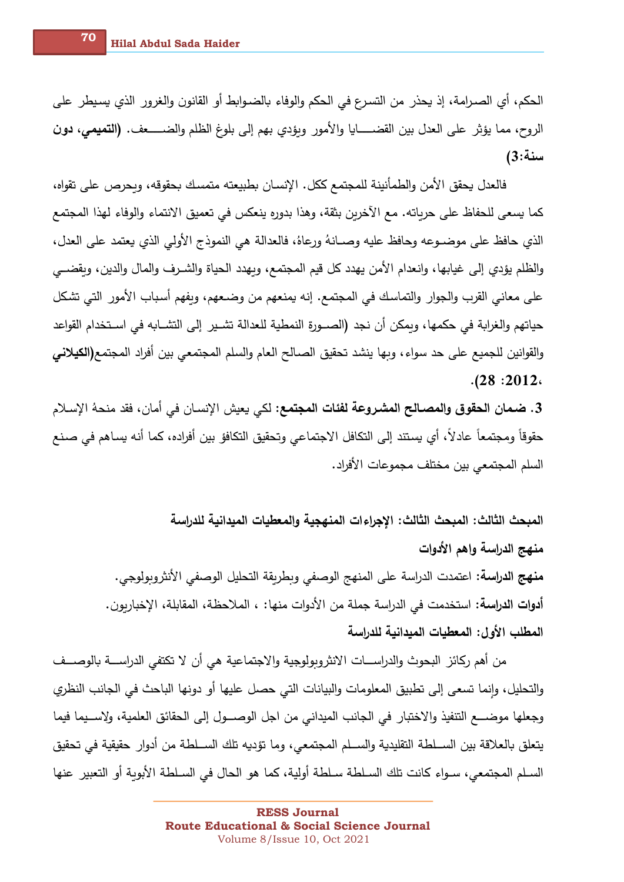الحكم، أي الصـرامة، إذ يحذر من التسرع في الحكم والوفاء بالضـوابط أو القانون والغرور الذي يسيطر على الروح، مما يؤثِّر على العدل بين القضـــــايا والأمور ويؤدي بهم إلى بلوغ الظلم والضـــــعف. **(التميمي، دون** سنة:3)

فالعدل يحقق الأمن والطمأنينة للمجتمع ككل. الإنسان بطبيعته متمسك بحقوقه، وبحرص على تقواه، كما يسعى للحفاظ على حرباته. مع الآخرين بثقة، وهذا بدوره ينعكس في تعميق الانتماء والوفاء لهذا المجتمع الذي حافظ على موضـوعه وحافظ عليه وصـانهُ ورعاهُ، فالعدالة هي النموذج الأولى الذي يعتمد على العدل، والظلم يؤدي إلى غيابها، وانعدام الأمن يهدد كل قيم المجتمع، وبهدد الحياة والشـرف والمال والدين، وبقضــي على معاني القرب والجوار والتماسك في المجتمع. إنه يمنعهم من وضـعهم، وبفهم أسباب الأمور التي تشكل حياتهم والغرابة في حكمها، وبمكن أن نجد (الصــورةِ النمطية للعدالة تشـير ٍ إلى التشــابه في اســتخدام القواعد والقوانين للجميع على حد سواء ، وبها ينشد تحقيق الصـالح العام والسلم المجت*معي* بين أفراد المجتمع(ا**لكيلاني**  $. (28:2012)$ 

3. ضمان الحقوق والمصـالح المشـروعة لفئات المجتمع: لكي يعيش الإنسـان في أمان، فقد منحهُ الإسـلام حقوقاً ومجتمعاً عادلاً، أي يستند إلى التكافل الاجتماعي وتحقيق التكافؤ بين أفراده، كما أنه يساهم في صنع السلم المجتمعي بين مختلف مجموعات الأفراد.

المبحث الثالث: المبحث الثالث: الإجراءات المنهجية والمعطيات الميدانية للدراسة منهج الدراسة وإهم الأدوات **منهج الدراسة:** اعتمدت الدراسة على المنهج الوصفي وبطربقة التحليل الوصفي الأنثروبولوجي. أ**دوات الدراسة:** استخدمت في الدراسة جملة من الأدوات منها: ، الملاحظة، المقابلة، الإخباربون. المطلب الأول: المعطيات الميدانية للدراسة

من أهم ركائز ِ البحوثِ والدراســـات الانثر وبولوجية والاجتماعية هي أن لا تكتفي الدراســـة بالوصـــف والتحليل، وإنما تسعى إلى تطبيق المعلومات والبيانات التي حصل عليها أو دونها الباحث في الجانب النظري وجعلها موضـــع التنفيذ والاختبار في الجانب الميداني من اجل الوصـــول إلى الحقائق العلمية، ولإســـيما فيما يتعلق بالعلاقة بين الســلطة التقليدية والســلم المجتمعي، وما تؤديه تلك الســلطـة من أدوار \_حقيقية في تحقيق السـلم المجتمعي، سـواء كانت تلك السـلطـة سـلطـة أوليـة، كما هو الـحال في السـلطـة الأبوبـة أو التعبير عنها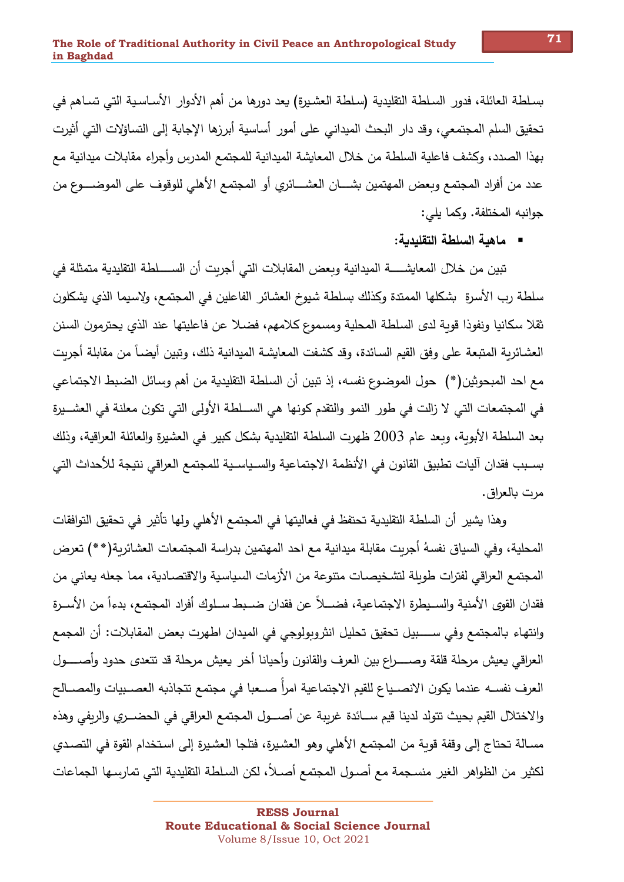بسلطة العائلة، فدور السلطة التقليدية (سلطة العشيرة) يعد دورها من أهم الأدوار الأساسية التي تساهم في تحقيق السلم المجتمعي، وقد دار البحث الميداني على أمور أساسية أبرزها الإجابة إلى التساؤلات التي أثيرت بهذا الصدد، وكشف فاعلية السلطة من خلال المعايشة الميدانية للمجتمع المدرس وأجراء مقابلات ميدانية مع عدد من أفراد المجتمع وبعض المهتمين بشــــان العشــــائري أو المجتمع الأهلي للوقوف على الموضـــــوع من جوانبه المختلفة. وكما يلي:

■ ماهية السلطة التقليدية:

تبين من خلال المعايشــــــة الميدانية وبعض المقابلات التي أجربت أن الســـــلطـة التقليدية متمثلة في سلطة رب الأسرة بشكلها الممتدة وكذلك بسلطة شيوخ العشائر الفاعلين في المجتمع، ولاسيما الذي يشكلون ثقلا سكانيا ونفوذا قوبة لدى السلطة المحلية ومسموع كلامهم، فضـلا عن فاعليتها عند الذي يحترمون السنن العشـائرية المتبعة على وفق القيم السـائدة، وقد كشفت المعايشـة الميدانية ذلك، وتبين أيضـاً من مقابلة أجريت مع احد المبحوثين(\*) حول الموضوع نفسه، إذ تبين أن السلطة التقليدية من أهم وسائل الضبط الاجتماعي في المجتمعات التي لا زالت في طور النمو والتقدم كونها هي الســلطـة الأولى التي تكون معلنة في العشـــيرة بعد السلطة الأبوبة، وبعد عام 2003 ظهرت السلطة التقليدية بشكل كبير في العشيرة والعائلة العراقية، وذلك بسـبب فقدان آليات تطبيق القانون في الأنظمة الاجتماعية والسـياسـية للمجتمع العراقي نتيجة للأحداث التي مرت بالعراق.

وهذا يشير ٍ أن السلطة التقليدية تحتفظ في فعاليتها في المجتمع الأهلي ولها تأثير ٍ في تحقيق التوافقات المحلية، وفي السياق نفسهُ أجربت مقابلة ميدانية مع احد المهتمين بدراسة المجتمعات العشائربة(\*\*) تعرض المجتمع العراقي لفترات طوبلة لتشخيصـات متنوعة من الأزمات السياسية والاقتصـادية، مما جعله يعاني من فقدان القوى الأمنية والسـيطرة الاجتماعية، فضــلاً عن فقدان ضــبط سـلوك أفراد المجتمع، بدءاً من الأسـرة وانتهاء بالمجتمع وفي ســـــبيل تحقيق تحليل انثروبولوجي في الميدان اطهرت بعض المقابلات: أن المجمع العراقي يعيش مرحلة قلقة وصـــــراع بين العرف والقانون وأحيانا أخر يعيش مرحلة قد تتعدى حدود وأصـــــول العرف نفسـه عندما يكون الانصـياع للقيم الاجتماعية امرأ صـعبا في مجتمع تتجاذبه العصـبيات والمصــالح والاختلال القيم بحيث تتولد لدينا قيم ســائدة غرببة عن أصـــول المجتمع العراقي في الحضـــري والربفي وهذه مسـالة تحتاج إلى وقفة قوبة من المجتمع الأهلي وهو العشيرة، فتلجا العشيرة إلى استخدام القوة في التصـدي لكثير من الظواهر الغير منسجمة مع أصـول المجتمع أصـلاً، لكن السلطة التقليدية التي تمارسـها الجماعات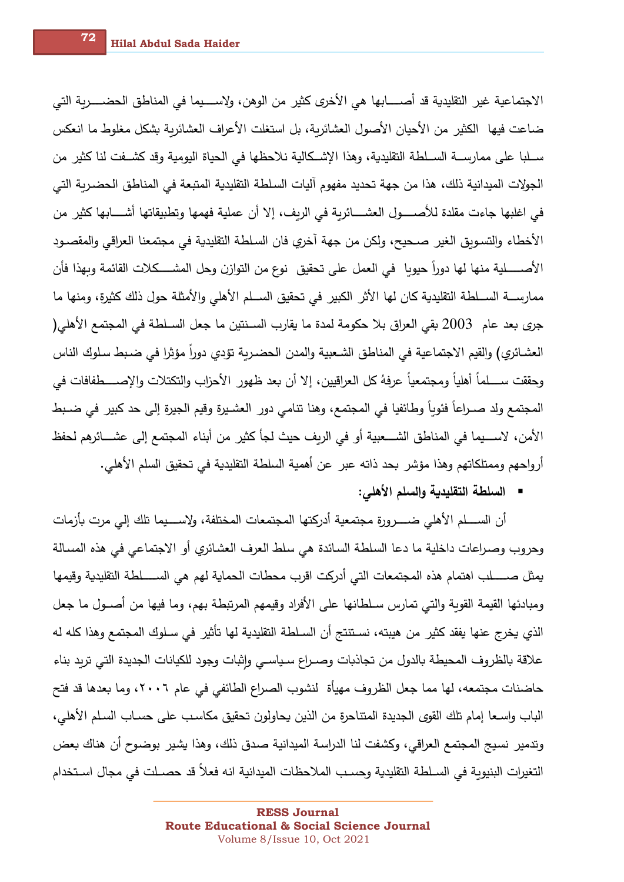الاجتماعية غير التقليدية قد أصـــــابها هي الأخرى كثير من الوهن، ولإســــيما في المناطق الحضـــــربة التي ضاعت فيها الكثير من الأحيان الأصول العشائرية، بل استغلت الأعراف العشائرية بشكل مغلوط ما انعكس سـلبا على ممارســة الســلطة التقليدية، وهذا الإشــكالية نلاحظها في الحياة اليومية وقد كشــفت لنا كثير من الجولات الميدانية ذلك، هذا من جهة تحديد مفهوم آليات السلطة التقليدية المتبعة في المناطق الحضرية التي في اغلبها جاءت مقلدة للأصـــــول العشـــــائرية في الريف، إلا أن عملية فهمها وتطبيقاتها أشـــــابها كثير من الأخطاء والتسويق الغير صحيح، ولكن من جهة آخري فان السلطة التقليدية في مجتمعنا العراقي والمقصـود الأصــــــلية منها لها دوراً حيوبا في العمل على تحقيق نوع من التوازن وحل المشــــــكلات القائمة وبهذا فأن ممارســـة الســـلطـة التقليدية كان لها الأثر الكبير في تحقيق الســـلم الأهلي والأمثلة حول ذلك كثيرة، ومنها ما جري بعد عام 2003 بقى العراق بلا حكومة لمدة ما يقارب السـنتين ما جعل السـلطـة في المـجتمـع الأهلي( العشـائري) والقيم الاجتماعية في المناطق الشـعبية والمدن الـحضـربـة تؤدي دوراً مؤثرا في ضـبط سـلوك الناس وحققت ســـــلماً أهلياً ومجتمعياً عرفهُ كل العراقيين، إلا أن بعد ظهور الأحزاب والتكتلات والإصـــــطفافات في المجتمع ولد صـراعاً فئوياً وطائفيا في المجتمع، وهنا نتامي دور العشـيرة وقيم الجيرة إلى حد كبير في ضـبط الأمن، لاســـيما في المناطق الشـــعبية أو في الريف حيث لجأ كثير من أبناء المجتمع إلى عشــــائرهم لحفظ أرواحهم وممتلكاتهم وهذا مؤشر بحد ذاته عبر عن أهمية السلطة التقليدية في تحقيق السلم الأهلي.

■ السلطة التقليدية والسلم الأهلى:

أن الســــلم الأهلي ضـــــرورة مجتمعية أدركتها المجتمعات المختلفة، ولاســــيما تلك إلى مرت بأزمات وحروب وصراعات داخلية ما دعا السلطة السائدة هي سلط العرف العشائري أو الاجتماعي في هذه المسالة يمثل صـــــلب اهتمام هذه المجتمعات التي أدركت اقرب محطات الحماية لهم هي الســـــلطة التقليدية وقيمها ومبادئها القيمة القوبة والتي تمارس سـلطانها على الأفراد وقيمهم المرتبطة بهم، وما فيها من أصــول ما جعل الذي يخرج عنها يفقد كثير من هيبته، نستنتج أن السلطة التقليدية لها تأثير في سلوك المجتمع وهذا كله له علاقة بالظروف المحيطة بالدول من تجاذبات وصـراع سـياسـي وإثبات وجود للكيانات الجديدة التي تربد بناء حاضنات مجتمعه، لها مما جعل الظروف مهيأة لنشوب الصراع الطائفي في عام ٢٠٠٦، وما بعدها قد فتح الباب واسـعا إمام تلك القوى الـجديدة المتناحرة من الذين يحاولون تحقيق مكاسـب على حسـاب السـلم الأهلي، وتدمير ِ نسيج المجتمع العراقي، وكشفت لنا الدراسة الميدانية صدق ذلك، وهذا يشير ٍ بوضوح أن هناك بعض التغيرات البنيوية في السـلطة التقليدية وحسـب الملاحظات الميدانية انه فعلاً قد حصـلت في مجال اسـتخدام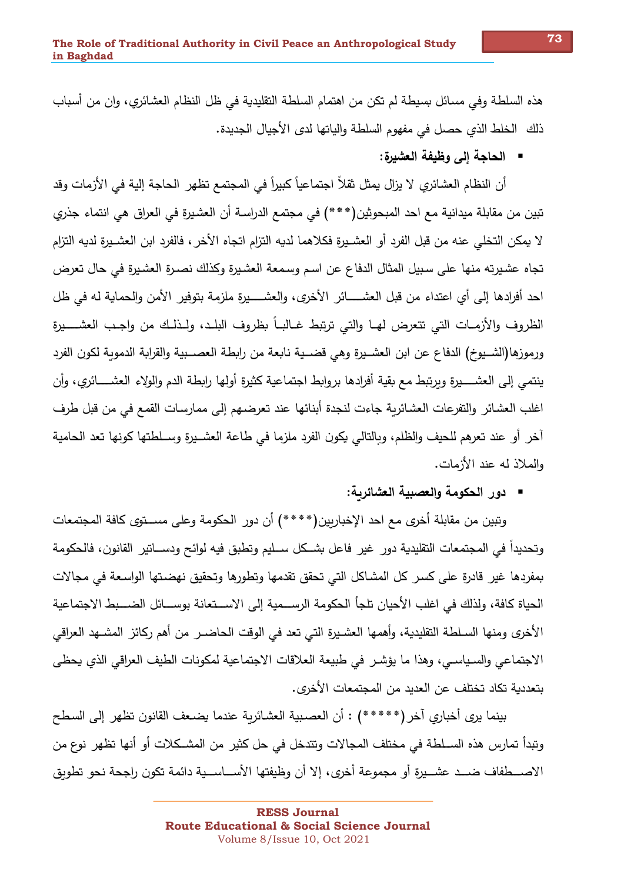هذه السلطة وفي مسائل بسيطة لم تكن من اهتمام السلطة التقليدية في ظل النظام العشائري، وان من أسباب ذلك الخلط الذي حصل في مفهوم السلطة والياتها لدى الأجيال الجديدة.

■ الحاجة إلى وظيفة العثىيرة:

أن النظام العشائري لا يزال يمثل ثقلاً اجتماعياً كبيراً في المجتمع تظهر الحاجة إلية في الأزمات وقد تبين من مقابلة ميدانية مع احد المبحوثين(\*\*\*) في مجتمع الدراسـة أن العشيرة في العراق هي انتماء جذري لا يمكن التخلي عنه من قبل الفرد أو العشـيرة فكلاهما لديه التزام اتجاه الأخر ، فالفرد ابن العشـيرة لديه التزام تجاه عشيرته منها على سبيل المثال الدفاع عن اسم وسمعة العشيرة وكذلك نصدرة العشيرة في حال تعرض احد أفرادها إلى أي اعتداء من قبل العشـــــائر الأخرى، والعشـــــيرة ملزمة بتوفير الأمن والحماية له في ظل الظروف والأزمـات التي تتعرض لهـا والتي ترتبط غـالبـاً بظروف البلـد، ولـذلـك من واجـب العشــــيرة ورموزها(الشــيوخ) الدفاع عن ابن العشــيرة وهي قضــية نابعة من رابطة العصــبية والقرابة الدموبة لكون الفرد ينتمي إلى العشـــــيرة وبرتبط مـع بقية أفرادها بروابط اجتماعية كثيرة أولها رابطة الدم والولاء العشـــــائري، وأن اغلب العشائر والتفرعات العشائرية جاءت لنجدة أبنائها عند تعرضهم إلى ممارسات القمع في من قبل طرف أخر أو عند تعرهم للحيف والظلم، وبالتالي يكون الفرد ملزما في طاعة العشـيرة وسـلطتها كونها تعد الحامية والملاذ له عند الأزمات.

■ دور الحكومة والعصبية العشائربة:

وبِّبين من مقابلة أخرى مع احد الإخباربين(\*\*\*\*) أن دور الحكومة وعلى مســتوى كافة المجتمعات وتحديداً في المجتمعات التقليدية دور غير فاعل بشــكل ســليم وتطبق فيه لوائح ودســاتير القانون، فالحكومة بمفردها غير قادرة على كسر كل المشاكل التي تحقق تقدمها وتطورها وتحقيق نهضتها الواسعة في مجالات الحياة كافة، ولذلك في اغلب الأحيان تلجأ الحكومة الرســمية إلى الاســتعانة بوســائل الضــبط الاجتماعية الأخرى ومنها السـلطـة التقليدية، وأهمها العشـيرة التي تعد في الوقت الـحاضـر من أهم ركائز المشـهد العراقي الاجتماعي والسياسي، وهذا ما يؤشر في طبيعة العلاقات الاجتماعية لمكونات الطيف العراقي الذي يحظى بتعددية تكاد تختلف عن العديد من المجتمعات الأخرى.

بينما يرى أخباري آخر (\*\*\*\*\*) : أن العصبية العشائرية عندما يضعف القانون تظهر إلى السطح وتبدأ تمارس هذه الســلطـة في مختلف المجالات وتتدخل في حل كثير ٍ من المشــكلات أو أنها تظهر ٍ نوع من الاصـــطفاف ضـــد عشـــيرة أو مجموعة أخرى، إلا أن وظيفتها الأســـاســـية دائمة تكون راجحة نحو تطوىق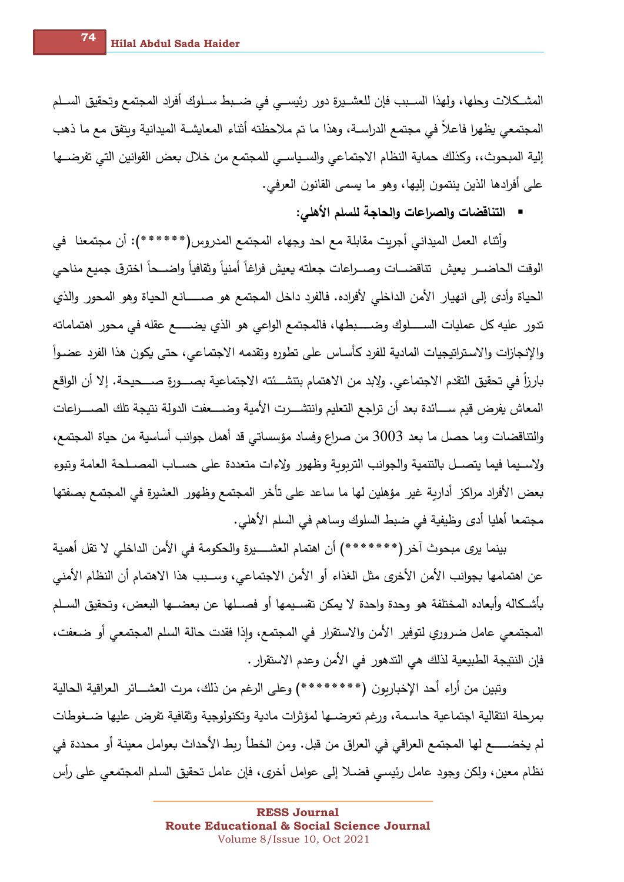المشـكلات وحلها، ولهذا السـبب فإن للعشـيرة دور رئيسـي في ضـبط سـلوك أفراد المجتمع وتحقيق السـلم المجتمعي يظهرا فاعلا في مجتمع الدراســة، وهذا ما تم ملاحظته أثناء المعايشــة الميدانية وبتفق مع ما ذهب إلية المبحوث،، وكذلك حماية النظام الاجتماعي والسـياسـي للمجتمع من خلال بعض القوانين التي تفرضــها على أفرادها الذين ينتمون إليها، وهو ما يسمى القانون العرفي.

■ التناقضات والصراعات والحاجة للسلم الأهلي:

وأثناء العمل الميداني أجريت مقابلة مع احد وجهاء المجتمع المدروس(\*\*\*\*\*\*): أن مجتمعنا ۖ في الوقت الحاضــر يعيش تناقضــات وصــراعات جعلته يعيش فراغاً أمنياً وثقافياً واضـــحاً اخترق جميع مناحي الحياة وأدى إلى انهيار الأمن الداخلي لأفراده. فالفرد داخل المجتمع هو صــــــانـع الحياة وهو المحور والذي تدور عليه كل عمليات الســـــلوك وضـــــبطها، فالمجتمع الواعي هو الذي يضــــــع عقله في محور اهتماماته والإنجازات والاستراتيجيات المادية للفرد كأساس على تطوره وتقدمه الاجتماعي، حتى يكون هذا الفرد عضـواً بارزاً في تحقيق التقدم الاجتماعي. ولإبد من الاهتمام بتنشــئته الاجتماعية بصـــورة صــــحيحة. إلا أن الواقع المعاش يفرض قيم ســـائدة بعد أن تراجع التعليم وانتشـــرت الأمية وضــــعفت الدولة نتيجة تلك الصــــراعات والتناقضات وما حصل ما بعد 3003 من صراع وفساد مؤسساتي قد أهمل جوانب أساسية من حياة المجتمع، ولإسبيما فيما يتصبل بالتنمية والجوانب التربوبة وظهور ولإءات متعددة على حسباب المصبلحة العامة وتبوء بعض الأفراد مراكز أداربة غير مؤهلين لها ما ساعد على تأخر المجتمع وظهور العشيرة في المجتمع بصفتها مجتمعا أهليا أدى وظيفية في ضبط السلوك وساهم في السلم الأهلي.

بينما يرى مبحوث آخر (\*\*\*\*\*\*\*\*) أن اهتمام العشـــــيرة والحكومة في الأمن الداخلي لا تقل أهمية عن اهتمامها بجوانب الأمن الأخرى مثل الغذاء أو الأمن الاجتماعي، وســبب هذا الاهتمام أن النظام الأمني بأشكاله وأبعاده المختلفة هو وحدة وإحدة لا يمكن تقسـيمها أو فصــلها عن بعضــها البعض، وتحقيق السـلم المجتمعي عامل ضروري لتوفير الأمن والاستقرار في المجتمع، وإذا فقدت حالة السلم المجتمعي أو ضعفت، فإن النتيجة الطبيعية لذلك هي التدهور في الأمن وعدم الاستقرار .

وتبين من أراء أحد الإخباريون (\*\*\*\*\*\*\*\*) وعلى الرغم من ذلك، مرت العشـــائر العراقية الحالية بمرحلة انتقالية اجتماعية حاسـمة، ورغم تعرضــها لمؤثرات مادية وتكنولوجية وثقافية تفرض عليها ضــغوطات لم يخضــــــع لها المجتمع العراقي في العراق من قبل. ومن الخطأ ربط الأحداث بعوامل معينة أو محددة في نظام معين، ولكن وجود عامل رئيسي فضـلا إلى عوامل أخرى، فإن عامل تحقيق السلم المجتمعي على رأس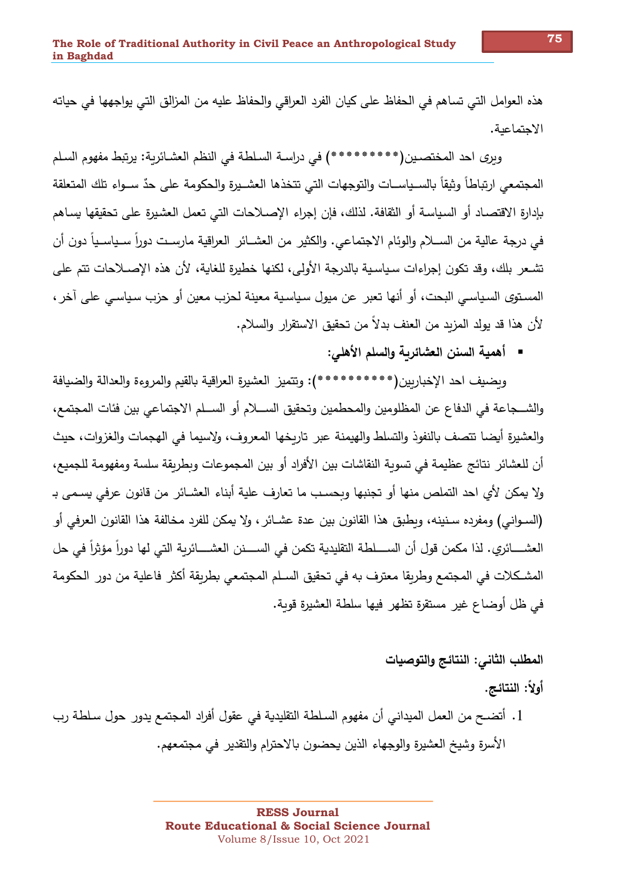هذه العوامل التي تساهم في الحفاظ على كيان الفرد العراقي والحفاظ عليه من المزالق التي يواجهها في حياته الاحتماعية.

ويرى احد المختصـين(\*\*\*\*\*\*\*\*\*\*\*) في دراســة السـلطـة في النظم العشـائريـة: يرتبط مفهوم السـلم المجتمعي ارتباطاً وثيقاً بالسـياسـات والتوجهات التي تتخذها العشـيرة والحكومة على حدٌ سـواء تلك المتعلقة بإدارة الاقتصـاد أو السياسـة أو الثقافة. لذلك، فإن إجراء الإصـلاحات التي تعمل العشيرة على تحقيقها يسـاهم في درجة عالية من الســلام والوئام الاجتماعي. والكثير من العشــائر العراقية مارسـت دوراً ســياســياً دون أن تشـعر بلك، وقد تكون إجراءات سـياسـية بالدرجة الأولى، لكنها خطيرة للغاية، لأن هذه الإصــلاحات تتم على المستوى السياسي البحت، أو أنها تعبر عن ميول سياسية معينة لحزب معين أو حزب سياسي على آخر ، لأن هذا قد يولد المزيد من العنف بدلاً من تحقيق الاستقرار والسلام.

■ أهمية السنن العشائربة والسلم الأهلي:

وبضيف احد الإخباربين(\*\*\*\*\*\*\*\*\*\*\*\*\*): وتتميز العشيرة العراقية بالقيم والمروءة والعدالة والضيافة والشــجاعة في الدفاع عن المظلومين والمحطمين وتحقيق الســـلام أو الســلم الاجتماعي بين فئات المجتمع، والعشيرة أيضا تتصف بالنفوذ والتسلط والهيمنة عبر تاربخها المعروف، ولاسيما في الهجمات والغزوات، حيث أن للعشائر ِ نتائج عظيمة في تسوية النقاشات بين الأفراد أو بين المجموعات وبطريقة سلسة ومفهومة للجميع، ولا يمكن لأي احد التملص منها أو تجنبها وبحسب ما تعارف علية أبناء العشـائر من قانون عرفي يسـمي بـ (السـوانـي) ومفرده سـنينـه، وبطبق هذا القانون بين عدة عشـائر ، ولا يمكن للفرد مخالفة هذا القانون العرفي أو العشـــــائري. لذا مكمن قول أن الســـــلطة التقليدية تكمن في الســــــنن العشـــــائرية التي لها دوراً مؤثراً في حل المشكلات في المجتمع وطريقا معترف به في تحقيق السـلم المجتمعي بطريقة أكثر فاعلية من دور الحكومة في ظل أوضاع غير مستقرةٍ تظهرٍ فيها سلطة العشيرةِ قوبة.

المطلب الثاني: النتائج وإلتوصيات

أُولاً: النتائج.

1. أتضــح من العمل الميداني أن مفهوم السـلطـة التقليديـة في عقول أفراد المـجتمـع يدور حول سـلطـة رب الأسرةِ وشيخ العشيرةِ والوجهاء الذين يحضون بالاحترامِ والتقديرِ في مجتمعهم.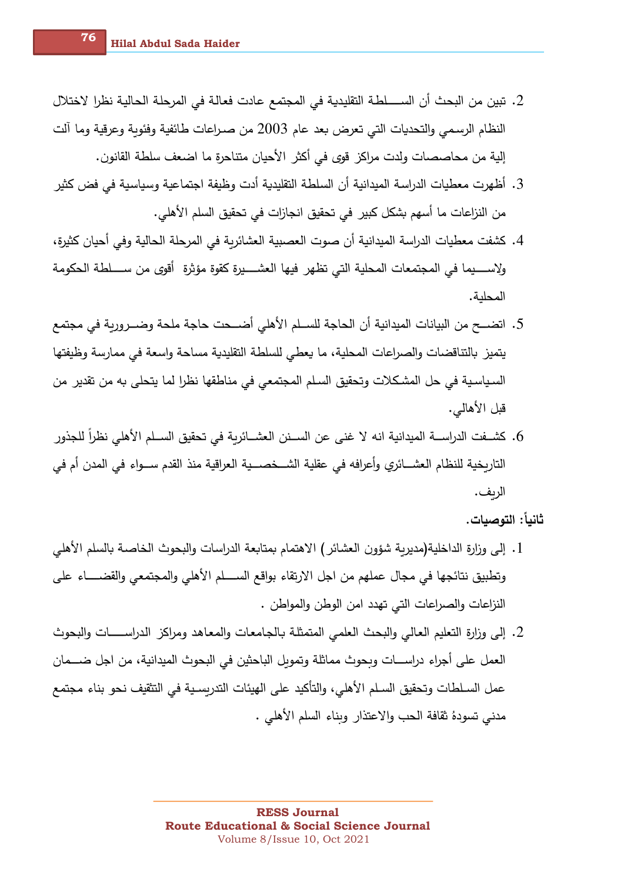- 2. تبين من البحث أن الســــلطـة التقليديـة في المجتمع عادت فعالـة في المرحلـة الحاليـة نظرا لاختلال النظام الرسمي والتحديات التي تعرض بعد عام 2003 من صـراعات طائفية وفئوبة وعرقية وما آلت إلية من محاصصات ولدت مراكز ٍ قوى في أكثر ِ الأحيان متناحرةٍ ما اضعف سلطة القانون.
- 3. أظهرت معطيات الدراسة الميدانية أن السلطة التقليدية أدت وظيفة اجتماعية وسياسية في فض كثير من النزاعات ما أسهم بشكل كبير في تحقيق انجازات في تحقيق السلم الأهلي.
- 4. كشفت معطيات الدراسة الميدانية أن صوت العصبية العشائربة في المرحلة الحالية وفي أحيان كثيرة، ولاســــــيما في المجتمعات المحلية التي تظهر فيها العشــــــيرة كقوة مؤثرة أقوى من ســــــلطة الحكومة المحلنة.
- 5. اتضـــح من البيانات الميدانية أن الحاجة للســلم الأهلي أضـــحت حاجة ملحة وضــرورية في مجتمع يتميز بالتناقضات والصراعات المحلية، ما يعطي للسلطة التقليدية مساحة واسعة في ممارسة وظيفتها السياسية في حل المشكلات وتحقيق السلم المجتمعي في مناطقها نظرا لما يتحلى به من تقدير من قبل الأهالي.
- 6. كشــفت الدراســـة الميدانية انـه لا غنـى عن الســـنن الـعشـــائريـة فـى تحقيق الســـلم الأهلـى نظراً للجذور التاريخية للنظام العشـــائري وأعرافه في عقلية الشـــخصـــية العراقية منذ القدم ســـواء في المدن أم في الريف.

ثانياً: التوصيات.

- 1. إلى وزارة الداخلية(مديربة شؤون العشائر ) الاهتمام بمتابعة الدراسات والبحوث الخاصـة بالسلم الأهلي وتطبيق نتائجها في مجال عملهم من اجل الارتقاء بواقع الســــلم الأهلي والمجتمعي والقضـــــاء على النزاعات والصراعات التي تهدد امن الوطن والمواطن .
- 2. إلى وزارة التعليم العالي والبحث العلمي المتمثلة بالجامعات والمعاهد ومراكز الدراســـات والبحوث العمل على أجراء دراســـات وبحوث مماثلة وتموبل الباحثين في البحوث الميدانية، من اجل ضــــمان عمل السـلطات وتحقيق السـلم الأهلي، والتأكيد على الهيئات التدربسـية في التثقيف نحو بناء مجتمع مدنى تسودهُ ثقافة الحب والاعتذار وبناء السلم الأهلي .

**RESS Journal Route Educational & Social Science Journal** Volume 8/Issue 10, Oct 2021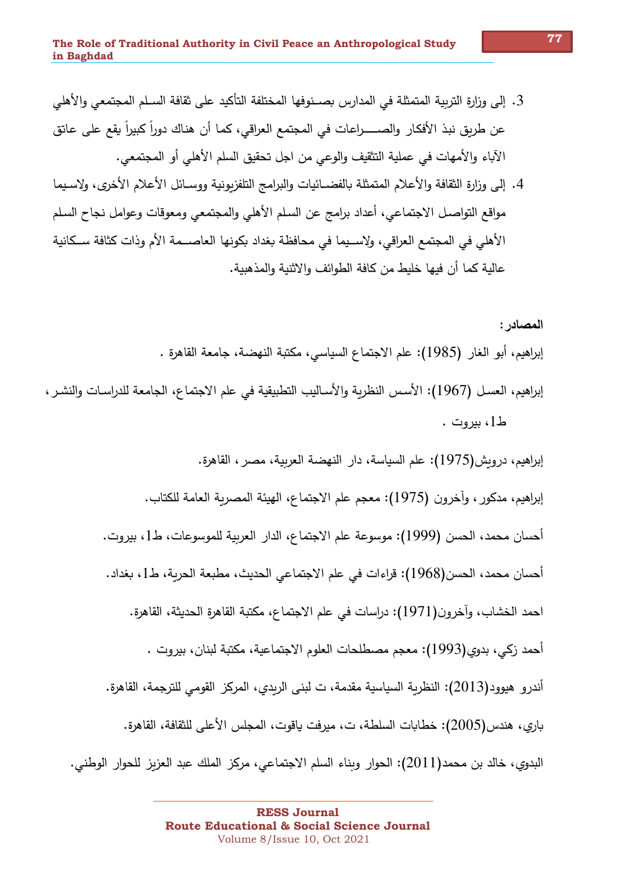- 3. إلى وزارة التربية المتمثلة في المدارس بصـنوفها المختلفة التأكيد على ثقافة السـلم المجتمعي والأهلي عن طريق نبذ الأفكار والصـــــراعات في المجتمع العراقي، كما أن هناك دوراً كبيراً يقع على عاتق الآباء والأمهات في عملية التثقيف والوعي من اجل تحقيق السلم الأهلي أو المجتمعي.
- 4. إلى وزارة الثقافة والأعلام المتمثلة بالفضــائيات والبرامج التلفزيونية ووسـائل الأعلام الأخرى، ولاسـيما مواقع التواصـل الاجتماعي، أعداد برامج عن السلم الأهلي والمجتمعي ومعوقات وعوامل نجاح السلم الأهلي في المجتمع العراقي، ولإســيما في محافظة بغداد بكونها العاصــمة الأم وذات كثافة ســكانية عالية كما أن فيها خليط من كافة الطوائف والاثنية والمذهبية.

المصادر : إبراهيم، أبو الغار (1985): علم الاجتماع السياسي، مكتبة النهضة، جامعة القاهرة . إبراهيم، العسل (1967): الأسس النظرية والأساليب التطبيقية في علم الاجتماع، الجامعة للدراسات والنشر ، ط1، سروت. إبراهيم، درويش(1975): علم السياسة، دار النهضة العربية، مصر ، القاهرة. إبراهيم، مدكور ، وآخرون (1975): معجم علم الاجتماع، الهيئة المصرية العامة للكتاب. أحسان محمد، الحسن (1999): موسوعة علم الاجتماع، الدار العربية للموسوعات، ط1، بيروت. أحسان محمد، الحسن(1968): قراءات في علم الاجتماعي الحديث، مطبعة الحربة، ط1، بغداد. احمد الخشاب، وآخرون(1971): دراسات في علم الاجتماع، مكتبة القاهرة الحديثة، القاهرة. أحمد زكي، بدوي(1993): معجم مصطلحات العلوم الاجتماعية، مكتبة لبنان، بيروت . أندرو هيوود(2013): النظرية السياسية مقدمة، ت لبني الريدي، المركز القومي للترجمة، القاهرة. باري، هندس(2005): خطابات السلطة، ت، ميرفت ياقوت، المجلس الأعلى للثقافة، القاهرة. البدوى، خالد بن محمد(2011): الحوار وبناء السلم الاجتماعي، مركز الملك عبد العزبز للحوار الوطني.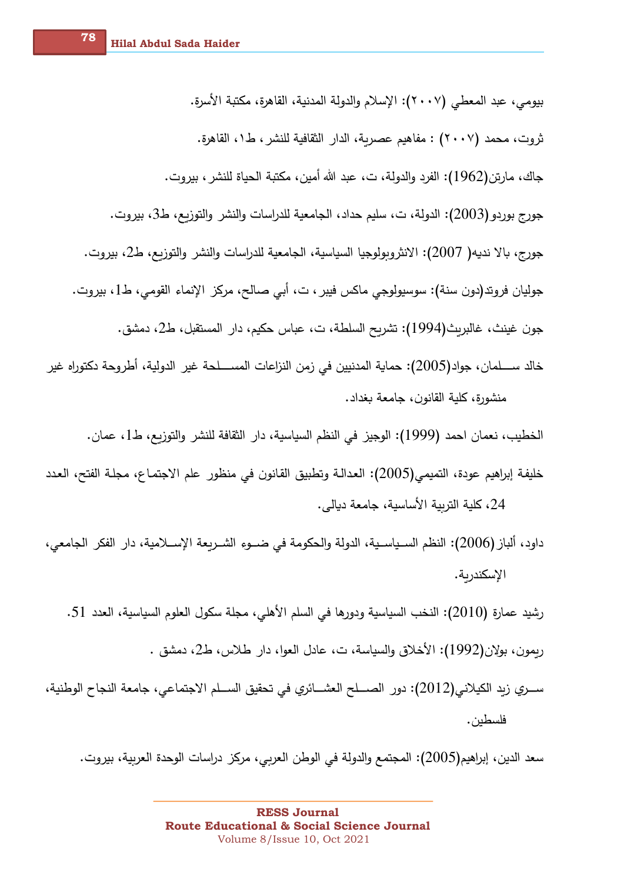بيومي، عبد المعطي (٢٠٠٧): الإسلام والدولة المدنية، القاهرة، مكتبة الأسرة. ثروت، محمد (٢٠٠٧) : مفاهيم عصرية، الدار الثقافية للنشر ، ط١، القاهرة. جاك، مارتن(1962): الفرد والدولة، ت، عبد الله أمين، مكتبة الحياة للنشر ، بيروت. جورج بوردو (2003): الدولة، ت، سليم حداد، الجامعية للدراسات والنشر والتوزيع، ط3، بيروت. جورج، بالا نديه( 2007): الانثروبولوجيا السياسية، الجامعية للدراسات والنشر والتوزيع، ط2، بيروت. جوليان فروتد(دون سنة): سوسيولوجي ماكس فيبر ، ت، أبي صالح، مركز الإنماء القومي، ط1، بيروت. جون غينث، غالبريث(1994): تشريح السلطة، ت، عباس حكيم، دار المستقبل، ط2، دمشق. خالد ســــلمان، جواد(2005): حماية المدنيين في زمن النزاعات المســـلحة غير الدولية، أطروحة دكتوراه غير منشورة، كلية القانون، جامعة بغداد.

الخطيب، نعمان احمد (1999): الوجيز في النظم السياسية، دار الثقافة للنشر والتوزيع، ط1، عمان.

خليفة إبراهيم عودة، التميمي(2005): العدالـة وتطبيق القانون في منظور علم الاجتمـاع، مجلـة الفتح، الـعدد 24، كلية التربية الأساسية، جامعة ديالي.

داود، ألباز (2006): النظم السـياسـية، الدولة والحكومة في ضــوء الشــريعة الإســلامية، دار الفكر الجامعي، الإسكندرية.

رشيد عمارة (2010): النخب السياسية ودورها في السلم الأهلي، مجلة سكول العلوم السياسية، العدد 51. ربمون، بولان(1992): الأخلاق والسياسة، ت، عادل العوا، دار طلاس، ط2، دمشق .

ســري زبد الكيلاني(2012): دور الصـــلح العشـــائري في تحقيق الســلم الاجتماعي، جامعة النجاح الوطنية، فلسطين .

سعد الدين، إبراهيم(2005): المجتمع والدولة في الوطن العربي، مركز دراسات الوحدة العربية، بيروت.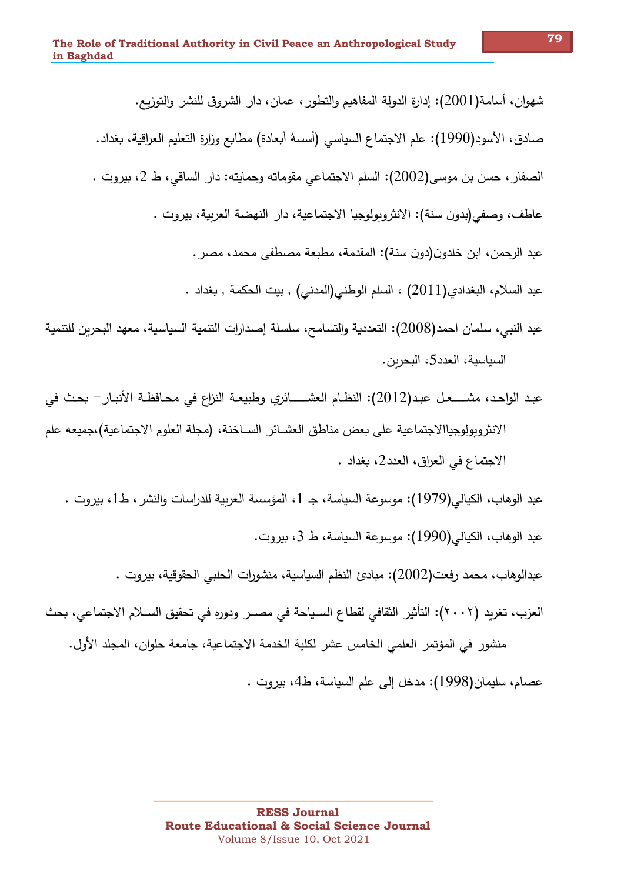شهوان، أسامة(2001): إدارة الدولة المفاهيم والتطور ، عمان، دار الشروق للنشر والتوزيع. صادق، الأسودِ(1990): علم الاجتماع السياسي (أسسهُ أبعادة) مطابع وزارةِ التعليم العراقية، بغداد. الصفار ، حسن بن موسى(2002): السلم الاجتماعي مقوماته وحمايته: دار الساقي، ط 2، بيروت . عاطف، وصفى(بدون سنة): الانثروبولوجيا الاجتماعية، دار النهضة العربية، بيروت . عبد الرحمن، ابن خلدون(دون سنة): المقدمة، مطبعة مصطفى محمد، مصر . عبد السلام، البغدادي(2011) ، السلم الوطني(المدني) , بيت الحكمة , بغداد . عبد النبي، سلمان احمد(2008): التعددية والتسامح، سلسلة إصدارات التنمية السياسية، معهد البحرين للتنمية

عبد الواحد، مشــــعل عبد(2012): النظـام العشــــــائري وطبيعــة النزاع في محــافظــة الأنبـار – بحث في الانثروبولوجياالاجتماعية على بعض مناطق العشــائر الســاخنة، (مجلة العلوم الاجتماعية)،جميعه علم الاجتماع في العراق، العدد2، بغداد .

عبد الوهاب، الكيالي(1979): موسوعة السياسة، جـ 1، المؤسسة العربية للدراسات والنشر ، ط1، بيروت . عبد الوهاب، الكيالي(1990): موسوعة السياسة، ط 3، بيروت.

عبدالوهاب، محمد رفعت(2002): مبادئ النظم السياسية، منشورات الحلبي الحقوقية، بيروت .

العزب، تغريد (٢٠٠٢): التأثير الثقافي لقطاع السـياحة في مصــر ودوره في تحقيق الســلام الاجتماعي، بحث منشور في المؤتمر العلمي الخامس عشر لكلية الخدمة الاجتماعية، جامعة حلوان، المجلد الأول.

عصام، سليمان(1998): مدخل إلى علم السياسة، ط4، بيروت .

السياسية، العدد5، البحرين.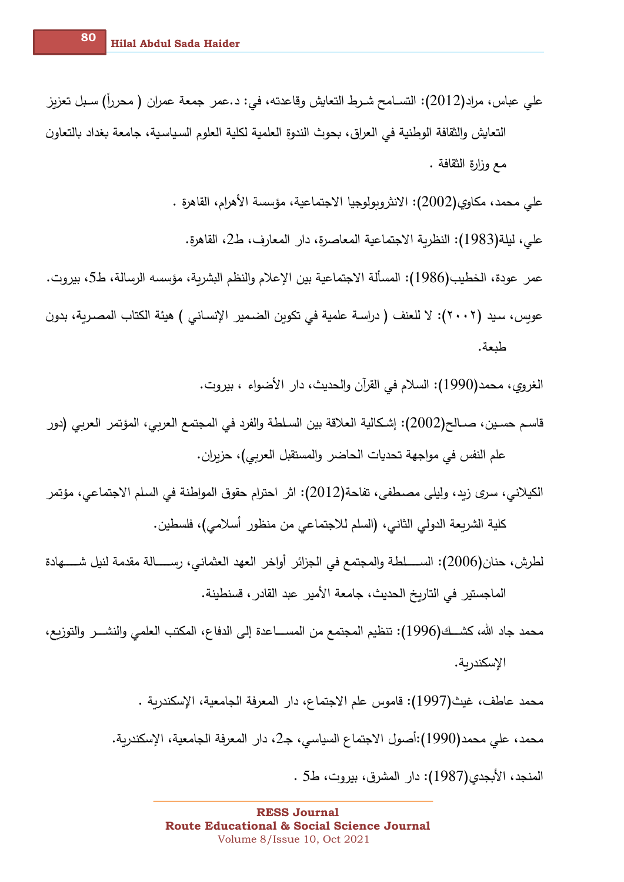- على عباس، مراد(2012): التسـامح شـرط التعايش وقاعدته، في: د.عمر جمعة عمران ( محرراً) سـبل تعزيز التعايش والثقافة الوطنية في العراق، بحوث الندوة العلمية لكلية العلوم السياسية، جامعة بغداد بالتعاون مع وزارة الثقافة .
	- على محمد، مكاوى(2002): الانثروبولوجيا الاجتماعية، مؤسسة الأهرام، القاهرة .
		- على، ليلة(1983): النظرية الاجتماعية المعاصرة، دار المعارف، ط2، القاهرة.

عمر عودة، الخطيب(1986): المسألة الاجتماعية بين الإعلام والنظم البشرية، مؤسسه الرسالة، ط5، بيروت. عوبس، سيد (٢٠٠٢): لا للعنف ( دراسة علمية في تكوبن الضـمير الإنسـاني ) هيئة الكتاب المصـربـة، بدون طبعة.

الغروي، محمد(1990): السلام في القرآن والحديث، دار الأضواء ، بيروت.

- قاسم حسين، صــالح(2002): إشـكالية الـعلاقة بين السـلطـة والفرد في المـجتمـع الـعربي، المؤتمر الـعربي (دور علم النفس في مواجهة تحديات الحاضر والمستقبل العربي)، حزبران.
- الكيلاني، سرى زيد، وليلي مصطفى، تفاحة(2012): اثر احترام حقوق المواطنة في السلم الاجتماعي، مؤتمر كلية الشريعة الدولي الثاني، (السلم للاجتماعي من منظور أسلامي)، فلسطين.
- لطرش، حنان(2006): الســــلطة والمجتمع في الجزائر أواخر العهد العثماني، رســــالة مقدمة لنيل شـــــهادة الماجستير في التاريخ الحديث، جامعة الأمير عبد القادر ، قسنطينة.
- محمد جاد الله، كشــك(1996): تنظيم المجتمع من المســـاعدة إلى الدفاع، المكتب العلمي والنشـــر والتوزيع، الإسكندرية.

محمد عاطف، غيث(1997): قاموس علم الاجتماع، دار المعرفة الجامعية، الإسكندرية . محمد، على محمد(1990):أصول الاجتماع السياسي، جـ2، دار المعرفة الجامعية، الإسكندرية. المنجد، الأبجدي(1987): دار المشرق، بيروت، ط5 .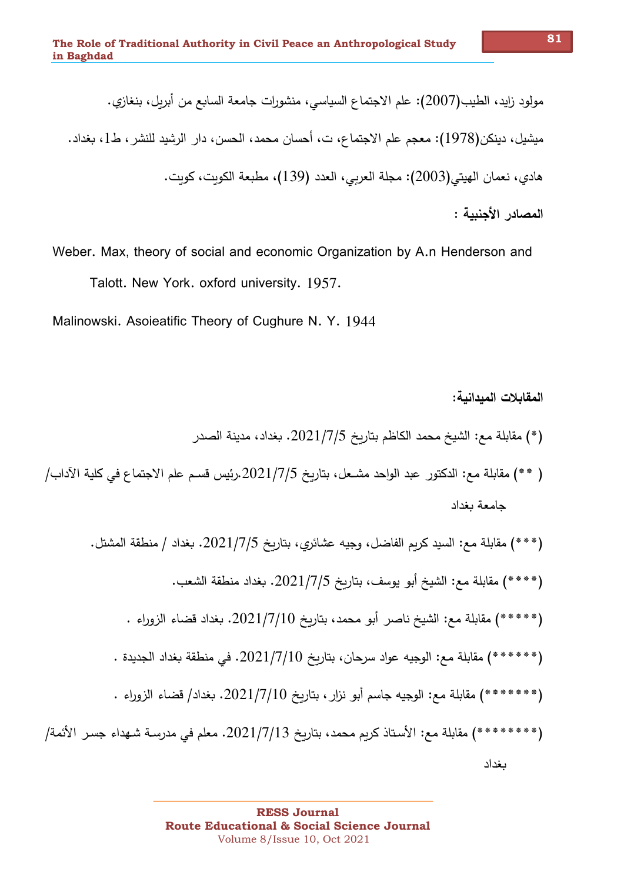مولود زايد، الطيب(2007): علم الاجتماع السياسي، منشورات جامعة السابع من أبريل، بنغازي. ميشيل، دينكن(1978): معجم علم الاجتماع، ت، أحسان محمد، الحسن، دار الرشيد للنشر، ط1، بغداد. هادي، نعمان الهيتي(2003): مجلة العربي، العدد (139)، مطبعة الكويت، كويت. المصادر الأحنيية :

Weber. Max, theory of social and economic Organization by A.n Henderson and Talott. New York. oxford university. 1957.

Malinowski. Asoieatific Theory of Cughure N. Y. 1944

ىغداد